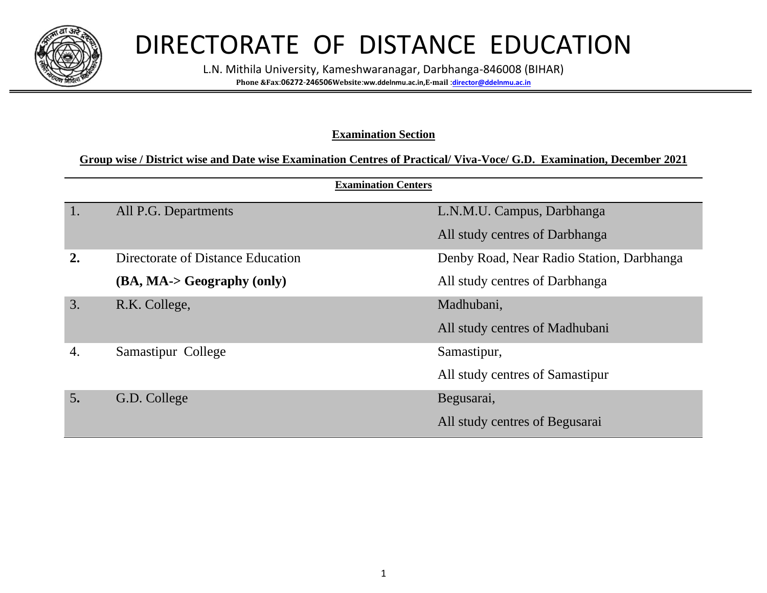

# DIRECTORATE OF DISTANCE EDUCATION

L.N. Mithila University, Kameshwaranagar, Darbhanga-846008 (BIHAR) **Phone &Fax**:**06272**-**246506Website**:**ww.ddelnmu.ac.in,E-mail** :**[director@ddelnmu.ac.in](mailto:director@ddelnmu.ac.in)**

#### **Examination Section**

#### **Group wise / District wise and Date wise Examination Centres of Practical/ Viva-Voce/ G.D. Examination, December 2021**

|                  | <b>Examination Centers</b>        |                                           |
|------------------|-----------------------------------|-------------------------------------------|
| 1.               | All P.G. Departments              | L.N.M.U. Campus, Darbhanga                |
|                  |                                   | All study centres of Darbhanga            |
| $\overline{2}$ . | Directorate of Distance Education | Denby Road, Near Radio Station, Darbhanga |
|                  | (BA, MA-> Geography (only)        | All study centres of Darbhanga            |
| 3.               | R.K. College,                     | Madhubani,                                |
|                  |                                   | All study centres of Madhubani            |
| 4.               | Samastipur College                | Samastipur,                               |
|                  |                                   | All study centres of Samastipur           |
| 5.               | G.D. College                      | Begusarai,                                |
|                  |                                   | All study centres of Begusarai            |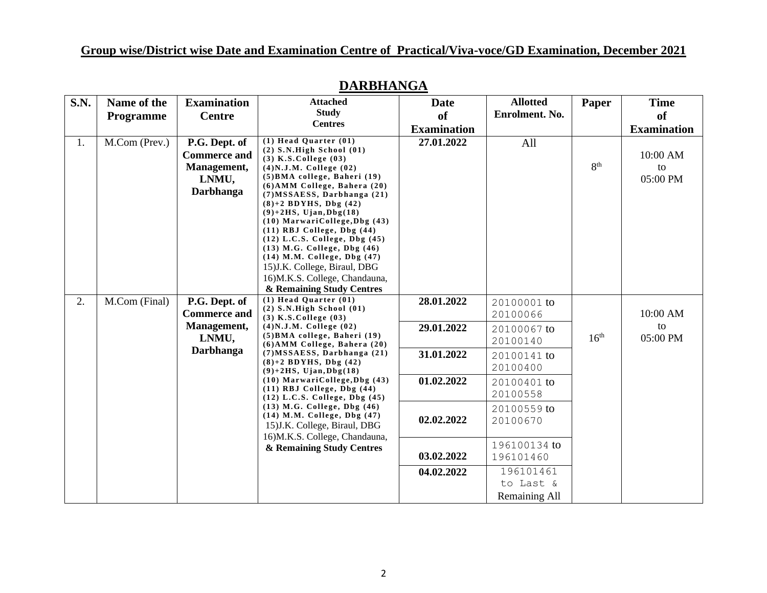| <b>S.N.</b> | Name of the   | <b>Examination</b>                                                               | <b>Attached</b>                                                                                                                                                                                                                                                                                                                                                                                                                                                                                                                           | Date               | <b>Allotted</b>         | Paper            | <b>Time</b>                |
|-------------|---------------|----------------------------------------------------------------------------------|-------------------------------------------------------------------------------------------------------------------------------------------------------------------------------------------------------------------------------------------------------------------------------------------------------------------------------------------------------------------------------------------------------------------------------------------------------------------------------------------------------------------------------------------|--------------------|-------------------------|------------------|----------------------------|
|             | Programme     | <b>Centre</b>                                                                    | <b>Study</b><br><b>Centres</b>                                                                                                                                                                                                                                                                                                                                                                                                                                                                                                            | <sub>of</sub>      | Enrolment. No.          |                  | of                         |
|             |               |                                                                                  |                                                                                                                                                                                                                                                                                                                                                                                                                                                                                                                                           | <b>Examination</b> |                         |                  | <b>Examination</b>         |
| 1.          | M.Com (Prev.) | P.G. Dept. of<br><b>Commerce and</b><br>Management,<br>LNMU,<br><b>Darbhanga</b> | $(1)$ Head Quarter $(01)$<br>$(2)$ S.N.High School $(01)$<br>$(3)$ K.S.College $(03)$<br>$(4)$ N.J.M. College $(02)$<br>$(5)$ BMA college, Baheri $(19)$<br>(6) AMM College, Bahera (20)<br>$(7) MSSAESS$ , Darbhanga $(21)$<br>$(8)+2$ BDYHS, Dbg $(42)$<br>$(9)+2HS$ , Ujan, Dbg $(18)$<br>$(10)$ MarwariCollege, Dbg $(43)$<br>$(11)$ RBJ College, Dbg $(44)$<br>$(12)$ L.C.S. College, Dbg $(45)$<br>$(13)$ M.G. College, Dbg $(46)$<br>(14) M.M. College, Dbg (47)<br>15) J.K. College, Biraul, DBG<br>16)M.K.S. College, Chandauna, | 27.01.2022         | All                     | 8 <sup>th</sup>  | 10:00 AM<br>to<br>05:00 PM |
|             |               |                                                                                  | & Remaining Study Centres<br>$(1)$ Head Quarter $(01)$                                                                                                                                                                                                                                                                                                                                                                                                                                                                                    |                    |                         |                  |                            |
| 2.          | M.Com (Final) | P.G. Dept. of                                                                    | $(2)$ S.N.High School $(01)$                                                                                                                                                                                                                                                                                                                                                                                                                                                                                                              | 28.01.2022         | 20100001 to             |                  |                            |
|             |               | <b>Commerce and</b>                                                              | $(3)$ K.S.College $(03)$                                                                                                                                                                                                                                                                                                                                                                                                                                                                                                                  |                    | 20100066                |                  | 10:00 AM                   |
|             |               | Management,                                                                      | $(4)$ N.J.M. College $(02)$<br>(5) BMA college, Baheri (19)                                                                                                                                                                                                                                                                                                                                                                                                                                                                               | 29.01.2022         | 20100067 to             |                  | to                         |
|             |               | LNMU,                                                                            | (6) AMM College, Bahera (20)                                                                                                                                                                                                                                                                                                                                                                                                                                                                                                              |                    | 20100140                | 16 <sup>th</sup> | 05:00 PM                   |
|             |               | <b>Darbhanga</b>                                                                 | $(7) MSSAESS$ , Darbhanga $(21)$                                                                                                                                                                                                                                                                                                                                                                                                                                                                                                          | 31.01.2022         | 20100141 to             |                  |                            |
|             |               |                                                                                  | $(8)+2$ BDYHS, Dbg $(42)$<br>$(9)+2HS$ , Ujan, Dbg $(18)$                                                                                                                                                                                                                                                                                                                                                                                                                                                                                 |                    | 20100400                |                  |                            |
|             |               |                                                                                  | $(10)$ MarwariCollege, Dbg $(43)$<br>$(11)$ RBJ College, Dbg $(44)$<br>(12) L.C.S. College, Dbg (45)                                                                                                                                                                                                                                                                                                                                                                                                                                      | 01.02.2022         | 20100401 to<br>20100558 |                  |                            |
|             |               |                                                                                  | $(13)$ M.G. College, Dbg $(46)$<br>(14) M.M. College, Dbg (47)<br>15) J.K. College, Biraul, DBG                                                                                                                                                                                                                                                                                                                                                                                                                                           | 02.02.2022         | 20100559 to<br>20100670 |                  |                            |
|             |               |                                                                                  | 16)M.K.S. College, Chandauna,<br>& Remaining Study Centres                                                                                                                                                                                                                                                                                                                                                                                                                                                                                |                    | 196100134 to            |                  |                            |
|             |               |                                                                                  |                                                                                                                                                                                                                                                                                                                                                                                                                                                                                                                                           | 03.02.2022         | 196101460               |                  |                            |
|             |               |                                                                                  |                                                                                                                                                                                                                                                                                                                                                                                                                                                                                                                                           | 04.02.2022         | 196101461               |                  |                            |
|             |               |                                                                                  |                                                                                                                                                                                                                                                                                                                                                                                                                                                                                                                                           |                    | to Last &               |                  |                            |
|             |               |                                                                                  |                                                                                                                                                                                                                                                                                                                                                                                                                                                                                                                                           |                    | Remaining All           |                  |                            |

## **DARBHANGA**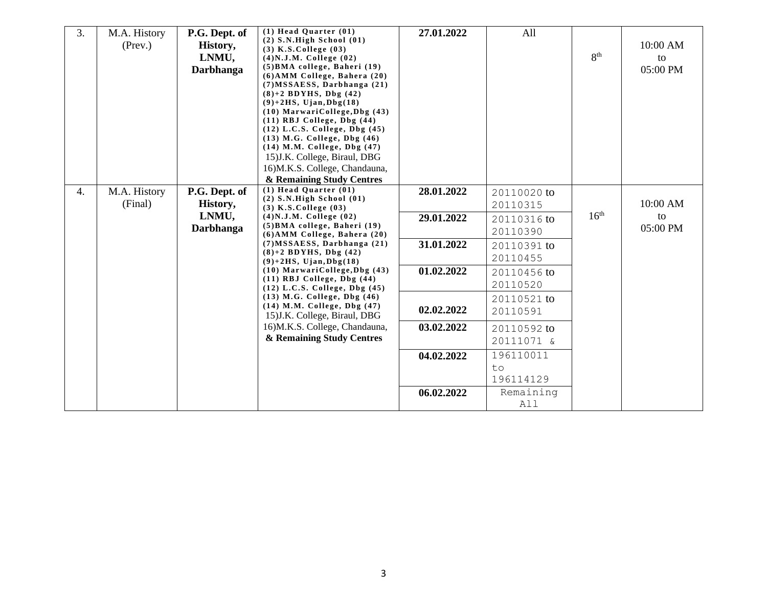| 3. | M.A. History<br>$($ Prev. $)$ | P.G. Dept. of<br>History,<br>LNMU,<br><b>Darbhanga</b> | $(1)$ Head Quarter $(01)$<br>$(2)$ S.N.High School $(01)$<br>$(3)$ K.S. College $(03)$<br>$(4)$ N.J.M. College $(02)$<br>$(5)$ BMA college, Baheri $(19)$<br>$(6)$ AMM College, Bahera $(20)$<br>$(7) MSSAESS$ , Darbhanga $(21)$<br>$(8)+2$ BDYHS, Dbg $(42)$<br>$(9)+2HS$ , Ujan, Dbg $(18)$<br>$(10)$ MarwariCollege, Dbg $(43)$<br>$(11)$ RBJ College, Dbg $(44)$<br>$(12)$ L.C.S. College, Dbg $(45)$<br>$(13)$ M.G. College, Dbg $(46)$<br>(14) M.M. College, Dbg (47)<br>15) J.K. College, Biraul, DBG | 27.01.2022 | All                          | 8 <sup>th</sup>  | 10:00 AM<br>to<br>05:00 PM |
|----|-------------------------------|--------------------------------------------------------|---------------------------------------------------------------------------------------------------------------------------------------------------------------------------------------------------------------------------------------------------------------------------------------------------------------------------------------------------------------------------------------------------------------------------------------------------------------------------------------------------------------|------------|------------------------------|------------------|----------------------------|
|    |                               |                                                        | 16)M.K.S. College, Chandauna,<br>& Remaining Study Centres                                                                                                                                                                                                                                                                                                                                                                                                                                                    |            |                              |                  |                            |
| 4. | M.A. History<br>(Final)       | P.G. Dept. of<br>History,                              | $(1)$ Head Quarter $(01)$<br>$(2)$ S.N.High School $(01)$<br>$(3)$ K.S.College $(03)$                                                                                                                                                                                                                                                                                                                                                                                                                         | 28.01.2022 | 20110020 to<br>20110315      |                  | 10:00 AM                   |
|    |                               | LNMU,<br><b>Darbhanga</b>                              | $(4)$ N.J.M. College $(02)$<br>(5) BMA college, Baheri (19)<br>(6) AMM College, Bahera (20)                                                                                                                                                                                                                                                                                                                                                                                                                   | 29.01.2022 | 20110316 to<br>20110390      | 16 <sup>th</sup> | to<br>05:00 PM             |
|    |                               |                                                        | $(7) MSSAESS$ , Darbhanga $(21)$<br>$(8)+2$ BDYHS, Dbg $(42)$<br>$(9)+2HS$ , Ujan, Dbg $(18)$                                                                                                                                                                                                                                                                                                                                                                                                                 | 31.01.2022 | 20110391 to<br>20110455      |                  |                            |
|    |                               |                                                        | $(10)$ MarwariCollege, Dbg $(43)$<br>$(11)$ RBJ College, Dbg $(44)$<br>$(12)$ L.C.S. College, Dbg $(45)$                                                                                                                                                                                                                                                                                                                                                                                                      | 01.02.2022 | 20110456 to<br>20110520      |                  |                            |
|    |                               |                                                        | (13) M.G. College, Dbg (46)<br>(14) M.M. College, Dbg (47)<br>15) J.K. College, Biraul, DBG                                                                                                                                                                                                                                                                                                                                                                                                                   | 02.02.2022 | 20110521 to<br>20110591      |                  |                            |
|    |                               |                                                        | 16)M.K.S. College, Chandauna,<br>& Remaining Study Centres                                                                                                                                                                                                                                                                                                                                                                                                                                                    | 03.02.2022 | 20110592 to<br>20111071 &    |                  |                            |
|    |                               |                                                        |                                                                                                                                                                                                                                                                                                                                                                                                                                                                                                               | 04.02.2022 | 196110011<br>to<br>196114129 |                  |                            |
|    |                               |                                                        |                                                                                                                                                                                                                                                                                                                                                                                                                                                                                                               | 06.02.2022 | Remaining<br>All             |                  |                            |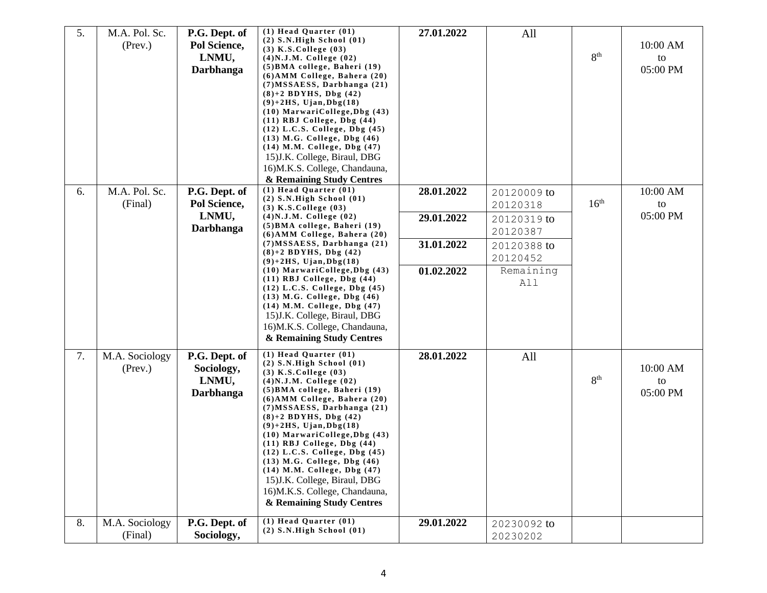| 5. | M.A. Pol. Sc.<br>$($ Prev. $)$ | P.G. Dept. of<br>Pol Science,<br>LNMU,<br>Darbhanga      | $(1)$ Head Quarter $(01)$<br>$(2)$ S.N.High School $(01)$<br>$(3)$ K.S.College $(03)$<br>$(4)$ N.J.M. College $(02)$<br>(5) BMA college, Baheri (19)<br>(6) AMM College, Bahera (20)<br>$(7) MSSAESS$ , Darbhanga $(21)$<br>$(8)+2$ BDYHS, Dbg $(42)$<br>$(9)+2HS$ , Ujan, Dbg $(18)$<br>$(10)$ MarwariCollege, Dbg $(43)$<br>$(11)$ RBJ College, Dbg $(44)$<br>$(12)$ L.C.S. College, Dbg $(45)$<br>$(13)$ M.G. College, Dbg $(46)$<br>(14) M.M. College, Dbg (47)<br>15) J.K. College, Biraul, DBG<br>16)M.K.S. College, Chandauna,<br>& Remaining Study Centres  | 27.01.2022 | All                     | 8 <sup>th</sup>  | 10:00 AM<br>to<br>05:00 PM |
|----|--------------------------------|----------------------------------------------------------|---------------------------------------------------------------------------------------------------------------------------------------------------------------------------------------------------------------------------------------------------------------------------------------------------------------------------------------------------------------------------------------------------------------------------------------------------------------------------------------------------------------------------------------------------------------------|------------|-------------------------|------------------|----------------------------|
| 6. | M.A. Pol. Sc.<br>(Final)       | P.G. Dept. of<br>Pol Science,                            | $(1)$ Head Quarter $(01)$<br>$(2)$ S.N.High School $(01)$<br>$(3)$ K.S. College $(03)$                                                                                                                                                                                                                                                                                                                                                                                                                                                                              | 28.01.2022 | 20120009 to<br>20120318 | 16 <sup>th</sup> | 10:00 AM<br>to             |
|    |                                | LNMU,<br>Darbhanga                                       | $(4)$ N.J.M. College $(02)$<br>(5) BMA college, Baheri (19)<br>$(6)$ AMM College, Bahera $(20)$                                                                                                                                                                                                                                                                                                                                                                                                                                                                     | 29.01.2022 | 20120319 to<br>20120387 |                  | 05:00 PM                   |
|    |                                |                                                          | $(7) MSSAESS$ , Darbhanga $(21)$<br>$(8)+2$ BDYHS, Dbg $(42)$<br>$(9)+2HS$ , Ujan, Dbg $(18)$                                                                                                                                                                                                                                                                                                                                                                                                                                                                       | 31.01.2022 | 20120388 to<br>20120452 |                  |                            |
|    |                                |                                                          | $(10)$ MarwariCollege, Dbg $(43)$<br>$(11)$ RBJ College, Dbg $(44)$<br>$(12)$ L.C.S. College, Dbg $(45)$<br>(13) M.G. College, Dbg (46)<br>(14) M.M. College, Dbg (47)<br>15) J.K. College, Biraul, DBG<br>16)M.K.S. College, Chandauna,<br>& Remaining Study Centres                                                                                                                                                                                                                                                                                               | 01.02.2022 | Remaining<br>All        |                  |                            |
| 7. | M.A. Sociology<br>(Prev.)      | P.G. Dept. of<br>Sociology,<br>LNMU,<br><b>Darbhanga</b> | $(1)$ Head Quarter $(01)$<br>$(2)$ S.N.High School $(01)$<br>$(3)$ K.S. College $(03)$<br>$(4)$ N.J.M. College $(02)$<br>(5) BMA college, Baheri (19)<br>(6) AMM College, Bahera (20)<br>$(7) MSSAESS$ , Darbhanga $(21)$<br>$(8)+2$ BDYHS, Dbg $(42)$<br>$(9)+2HS$ , Ujan, Dbg $(18)$<br>$(10)$ MarwariCollege, Dbg $(43)$<br>$(11)$ RBJ College, Dbg $(44)$<br>$(12)$ L.C.S. College, Dbg $(45)$<br>$(13)$ M.G. College, Dbg $(46)$<br>(14) M.M. College, Dbg (47)<br>15) J.K. College, Biraul, DBG<br>16)M.K.S. College, Chandauna,<br>& Remaining Study Centres | 28.01.2022 | All                     | 8 <sup>th</sup>  | 10:00 AM<br>to<br>05:00 PM |
| 8. | M.A. Sociology<br>(Final)      | P.G. Dept. of<br>Sociology,                              | $(1)$ Head Quarter $(01)$<br>$(2)$ S.N.High School $(01)$                                                                                                                                                                                                                                                                                                                                                                                                                                                                                                           | 29.01.2022 | 20230092 to<br>20230202 |                  |                            |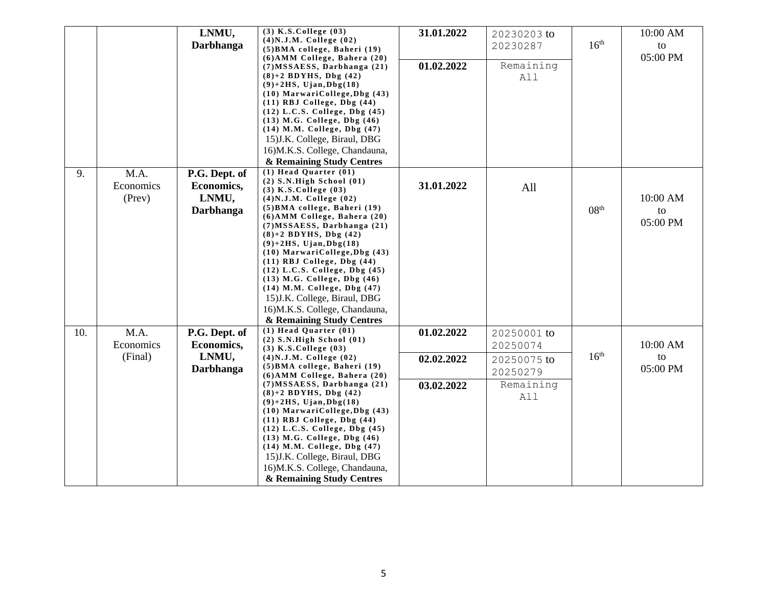|     |                             | LNMU,<br><b>Darbhanga</b>                                | $(3)$ K.S.College $(03)$<br>$(4)$ N.J.M. College $(02)$                                                                                                                                                                                                                                                                                                                                                | 31.01.2022 | 20230203 to<br>20230287 | 16 <sup>th</sup> | 10:00 AM<br>to |
|-----|-----------------------------|----------------------------------------------------------|--------------------------------------------------------------------------------------------------------------------------------------------------------------------------------------------------------------------------------------------------------------------------------------------------------------------------------------------------------------------------------------------------------|------------|-------------------------|------------------|----------------|
|     |                             |                                                          | (5) BMA college, Baheri (19)<br>$(6)$ AMM College, Bahera $(20)$                                                                                                                                                                                                                                                                                                                                       |            |                         |                  | 05:00 PM       |
|     |                             |                                                          | (7) MSSAESS, Darbhanga (21)<br>$(8)+2$ BDYHS, Dbg $(42)$<br>$(9)+2HS$ , Ujan, Dbg $(18)$<br>$(10)$ MarwariCollege, Dbg $(43)$<br>$(11)$ RBJ College, Dbg $(44)$<br>$(12)$ L.C.S. College, Dbg $(45)$                                                                                                                                                                                                   | 01.02.2022 | Remaining<br>All        |                  |                |
|     |                             |                                                          | $(13)$ M.G. College, Dbg $(46)$<br>(14) M.M. College, Dbg (47)<br>15) J.K. College, Biraul, DBG<br>16)M.K.S. College, Chandauna,<br>& Remaining Study Centres                                                                                                                                                                                                                                          |            |                         |                  |                |
| 9.  | M.A.<br>Economics<br>(Prev) | P.G. Dept. of<br>Economics,<br>LNMU,<br><b>Darbhanga</b> | $(1)$ Head Quarter $(01)$<br>$(2)$ S.N.High School $(01)$<br>$(3)$ K.S.College $(03)$<br>$(4)$ N.J.M. College $(02)$<br>(5) BMA college, Baheri (19)                                                                                                                                                                                                                                                   | 31.01.2022 | All                     | 08 <sup>th</sup> | 10:00 AM       |
|     |                             |                                                          | (6) AMM College, Bahera (20)<br>$(7) MSSAESS$ , Darbhanga $(21)$<br>$(8)+2$ BDYHS, Dbg $(42)$<br>$(9)+2$ HS, Ujan, Dbg $(18)$<br>(10) MarwariCollege, Dbg (43)<br>$(11)$ RBJ College, Dbg $(44)$<br>$(12)$ L.C.S. College, Dbg $(45)$<br>$(13)$ M.G. College, Dbg $(46)$<br>(14) M.M. College, Dbg (47)<br>15) J.K. College, Biraul, DBG<br>16)M.K.S. College, Chandauna,<br>& Remaining Study Centres |            |                         |                  | to<br>05:00 PM |
| 10. | M.A.<br>Economics           | P.G. Dept. of<br>Economics,                              | $(1)$ Head Quarter $(01)$<br>$(2)$ S.N.High School $(01)$                                                                                                                                                                                                                                                                                                                                              | 01.02.2022 | 20250001 to<br>20250074 |                  | 10:00 AM       |
|     | (Final)                     | LNMU,<br><b>Darbhanga</b>                                | $(3)$ K.S.College $(03)$<br>$(4)$ N.J.M. College $(02)$<br>$(5)$ BMA college, Baheri $(19)$<br>$(6)$ AMM College, Bahera $(20)$                                                                                                                                                                                                                                                                        | 02.02.2022 | 20250075 to<br>20250279 | 16 <sup>th</sup> | to<br>05:00 PM |
|     |                             |                                                          | $(7) MSSAESS$ , Darbhanga $(21)$<br>$(8)+2$ BDYHS, Dbg $(42)$<br>$(9)+2HS$ , Ujan, Dbg $(18)$<br>$(10)$ MarwariCollege, Dbg $(43)$<br>$(11)$ RBJ College, Dbg $(44)$<br>$(12)$ L.C.S. College, Dbg $(45)$<br>$(13)$ M.G. College, Dbg $(46)$<br>(14) M.M. College, Dbg (47)<br>15) J.K. College, Biraul, DBG<br>16)M.K.S. College, Chandauna,<br>& Remaining Study Centres                             | 03.02.2022 | Remaining<br>All        |                  |                |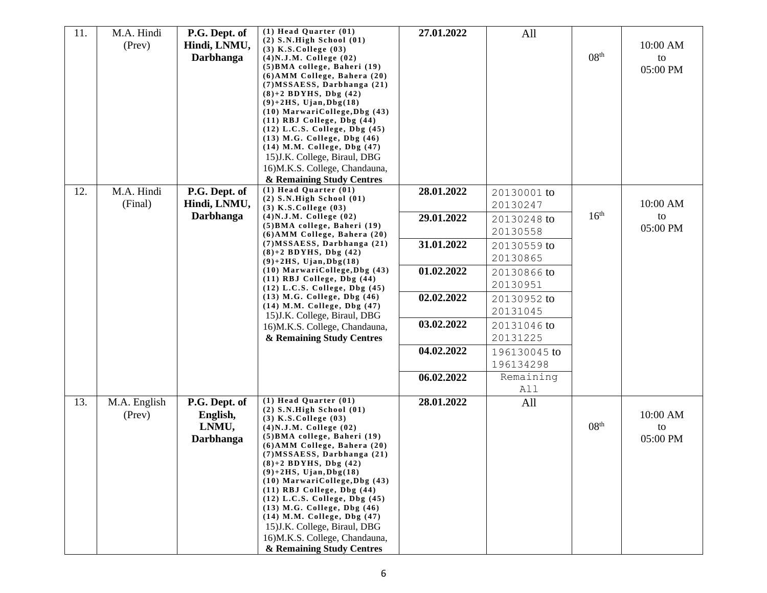| M.A. Hindi<br>(Prev)         | P.G. Dept. of<br>Hindi, LNMU,<br><b>Darbhanga</b> | $(1)$ Head Quarter $(01)$<br>$(2)$ S.N.High School $(01)$<br>$(3)$ K.S. College $(03)$<br>$(4)$ N.J.M. College $(02)$<br>(5) BMA college, Baheri (19)<br>$(6)$ AMM College, Bahera $(20)$<br>$(7) MSSAESS$ , Darbhanga $(21)$<br>$(8)+2$ BDYHS, Dbg $(42)$<br>$(9)+2HS$ , Ujan, Dbg $(18)$<br>(10) MarwariCollege, Dbg (43)<br>$(11)$ RBJ College, Dbg $(44)$<br>$(12)$ L.C.S. College, Dbg $(45)$<br>$(13)$ M.G. College, Dbg $(46)$<br>(14) M.M. College, Dbg (47)<br>15) J.K. College, Biraul, DBG<br>16)M.K.S. College, Chandauna,<br>& Remaining Study Centres | 27.01.2022                                                                                                                                                     | All                       | 08 <sup>th</sup> | 10:00 AM<br>to<br>05:00 PM |
|------------------------------|---------------------------------------------------|---------------------------------------------------------------------------------------------------------------------------------------------------------------------------------------------------------------------------------------------------------------------------------------------------------------------------------------------------------------------------------------------------------------------------------------------------------------------------------------------------------------------------------------------------------------------|----------------------------------------------------------------------------------------------------------------------------------------------------------------|---------------------------|------------------|----------------------------|
| M.A. Hindi<br>(Final)        | P.G. Dept. of<br>Hindi, LNMU,                     | $(1)$ Head Quarter $(01)$<br>$(2)$ S.N.High School $(01)$<br>$(3)$ K.S. College $(03)$                                                                                                                                                                                                                                                                                                                                                                                                                                                                              | 28.01.2022                                                                                                                                                     | 20130001 to<br>20130247   |                  | 10:00 AM                   |
|                              |                                                   | (5) BMA college, Baheri (19)<br>$(6)$ AMM College, Bahera $(20)$                                                                                                                                                                                                                                                                                                                                                                                                                                                                                                    |                                                                                                                                                                | 20130248 to<br>20130558   |                  | to<br>05:00 PM             |
|                              |                                                   | $(7) MSSAESS$ , Darbhanga $(21)$<br>$(8)+2$ BDYHS, Dbg $(42)$                                                                                                                                                                                                                                                                                                                                                                                                                                                                                                       | 31.01.2022                                                                                                                                                     | 20130559 to<br>20130865   |                  |                            |
|                              |                                                   | $(10)$ MarwariCollege, Dbg $(43)$<br>$(11)$ RBJ College, Dbg $(44)$                                                                                                                                                                                                                                                                                                                                                                                                                                                                                                 | 01.02.2022                                                                                                                                                     | 20130866 to<br>20130951   |                  |                            |
|                              |                                                   | (13) M.G. College, Dbg (46)<br>(14) M.M. College, Dbg (47)                                                                                                                                                                                                                                                                                                                                                                                                                                                                                                          | 02.02.2022                                                                                                                                                     | 20130952 to<br>20131045   |                  |                            |
|                              |                                                   | 16)M.K.S. College, Chandauna,<br>& Remaining Study Centres                                                                                                                                                                                                                                                                                                                                                                                                                                                                                                          | 03.02.2022                                                                                                                                                     | 20131046 to<br>20131225   |                  |                            |
|                              |                                                   |                                                                                                                                                                                                                                                                                                                                                                                                                                                                                                                                                                     | 04.02.2022                                                                                                                                                     | 196130045 to<br>196134298 |                  |                            |
|                              |                                                   |                                                                                                                                                                                                                                                                                                                                                                                                                                                                                                                                                                     | 06.02.2022                                                                                                                                                     | Remaining<br>All          |                  |                            |
| M.A. English<br>$($ Prev $)$ | P.G. Dept. of<br>English,<br>LNMU,<br>Darbhanga   | $(1)$ Head Quarter $(01)$<br>$(2)$ S.N.High School $(01)$<br>$(3)$ K.S. College $(03)$<br>$(4)$ N.J.M. College $(02)$<br>(5) BMA college, Baheri (19)<br>$(6)$ AMM College, Bahera $(20)$<br>$(7) MSSAESS$ , Darbhanga $(21)$<br>$(8)+2$ BDYHS, Dbg $(42)$<br>$(9)+2HS$ , Ujan, Dbg $(18)$<br>$(10)$ MarwariCollege, Dbg $(43)$<br>$(11)$ RBJ College, Dbg $(44)$<br>$(12)$ L.C.S. College, Dbg $(45)$<br>$(13)$ M.G. College, Dbg $(46)$<br>(14) M.M. College, Dbg (47)<br>15) J.K. College, Biraul, DBG<br>16)M.K.S. College, Chandauna,                          | 28.01.2022                                                                                                                                                     | All                       | 08 <sup>th</sup> | 10:00 AM<br>to<br>05:00 PM |
|                              |                                                   | <b>Darbhanga</b>                                                                                                                                                                                                                                                                                                                                                                                                                                                                                                                                                    | $(4)$ N.J.M. College $(02)$<br>$(9)+2HS$ , Ujan, Dbg $(18)$<br>$(12)$ L.C.S. College, Dbg $(45)$<br>15) J.K. College, Biraul, DBG<br>& Remaining Study Centres | 29.01.2022                |                  | 16 <sup>th</sup>           |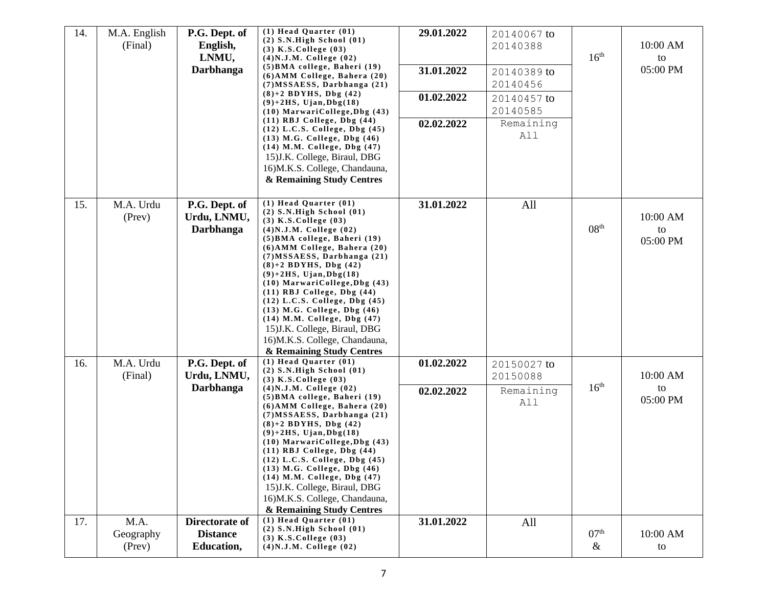| 14.        | M.A. English<br>(Final)      | P.G. Dept. of<br>English,<br>LNMU,<br>Darbhanga                    | $(1)$ Head Quarter $(01)$<br>$(2)$ S.N.High School $(01)$<br>$(3)$ K.S. College $(03)$<br>$(4)$ N.J.M. College $(02)$<br>(5) BMA college, Baheri (19)<br>(6) AMM College, Bahera (20)<br>(7) MSSAESS, Darbhanga (21)<br>$(8)+2$ BDYHS, Dbg $(42)$<br>$(9)+2HS$ , Ujan, Dbg $(18)$<br>$(10)$ MarwariCollege, Dbg $(43)$<br>$(11)$ RBJ College, Dbg $(44)$<br>$(12)$ L.C.S. College, Dbg $(45)$<br>$(13)$ M.G. College, Dbg $(46)$<br>(14) M.M. College, Dbg (47)<br>15) J.K. College, Biraul, DBG<br>16)M.K.S. College, Chandauna,<br>& Remaining Study Centres                          | 29.01.2022<br>31.01.2022<br>01.02.2022<br>02.02.2022 | 20140067 to<br>20140388<br>20140389 to<br>20140456<br>20140457 to<br>20140585<br>Remaining<br>All | 16 <sup>th</sup>         | 10:00 AM<br>to<br>05:00 PM |
|------------|------------------------------|--------------------------------------------------------------------|-----------------------------------------------------------------------------------------------------------------------------------------------------------------------------------------------------------------------------------------------------------------------------------------------------------------------------------------------------------------------------------------------------------------------------------------------------------------------------------------------------------------------------------------------------------------------------------------|------------------------------------------------------|---------------------------------------------------------------------------------------------------|--------------------------|----------------------------|
| 15.        | M.A. Urdu<br>(Prev)          | P.G. Dept. of<br>Urdu, LNMU,<br><b>Darbhanga</b>                   | $(1)$ Head Quarter $(01)$<br>$(2)$ S.N.High School $(01)$<br>$(3)$ K.S. College $(03)$<br>$(4)$ N.J.M. College $(02)$<br>(5) BMA college, Baheri (19)<br>(6) AMM College, Bahera (20)<br>$(7) MSSAESS$ , Darbhanga $(21)$<br>$(8)+2$ BDYHS, Dbg $(42)$<br>$(9)+2HS$ , Ujan, Dbg $(18)$<br>(10) MarwariCollege, Dbg (43)<br>$(11)$ RBJ College, Dbg $(44)$<br>$(12)$ L.C.S. College, Dbg $(45)$<br>(13) M.G. College, Dbg (46)<br>(14) M.M. College, Dbg (47)<br>15) J.K. College, Biraul, DBG<br>16)M.K.S. College, Chandauna,<br>& Remaining Study Centres                             | 31.01.2022                                           | All                                                                                               | 08 <sup>th</sup>         | 10:00 AM<br>to<br>05:00 PM |
| 16.<br>17. | M.A. Urdu<br>(Final)<br>M.A. | P.G. Dept. of<br>Urdu, LNMU,<br><b>Darbhanga</b><br>Directorate of | $(1)$ Head Quarter $(01)$<br>$(2)$ S.N.High School $(01)$<br>$(3)$ K.S.College $(03)$<br>$(4)$ N.J.M. College $(02)$<br>(5) BMA college, Baheri (19)<br>(6) AMM College, Bahera (20)<br>$(7) MSSAESS$ , Darbhanga $(21)$<br>$(8)+2$ BDYHS, Dbg $(42)$<br>$(9)+2HS$ , Ujan, Dbg $(18)$<br>(10) MarwariCollege, Dbg (43)<br>$(11)$ RBJ College, Dbg $(44)$<br>(12) L.C.S. College, Dbg (45)<br>$(13)$ M.G. College, Dbg $(46)$<br>(14) M.M. College, Dbg (47)<br>15) J.K. College, Biraul, DBG<br>16)M.K.S. College, Chandauna,<br>& Remaining Study Centres<br>$(1)$ Head Quarter $(01)$ | 01.02.2022<br>02.02.2022<br>31.01.2022               | 20150027 to<br>20150088<br>Remaining<br>All<br>All                                                | 16 <sup>th</sup>         | 10:00 AM<br>to<br>05:00 PM |
|            | Geography<br>(Prev)          | <b>Distance</b><br><b>Education,</b>                               | $(2)$ S.N.High School $(01)$<br>$(3)$ K.S. College $(03)$<br>$(4)$ N.J.M. College $(02)$                                                                                                                                                                                                                                                                                                                                                                                                                                                                                                |                                                      |                                                                                                   | 07 <sup>th</sup><br>$\&$ | 10:00 AM<br>to             |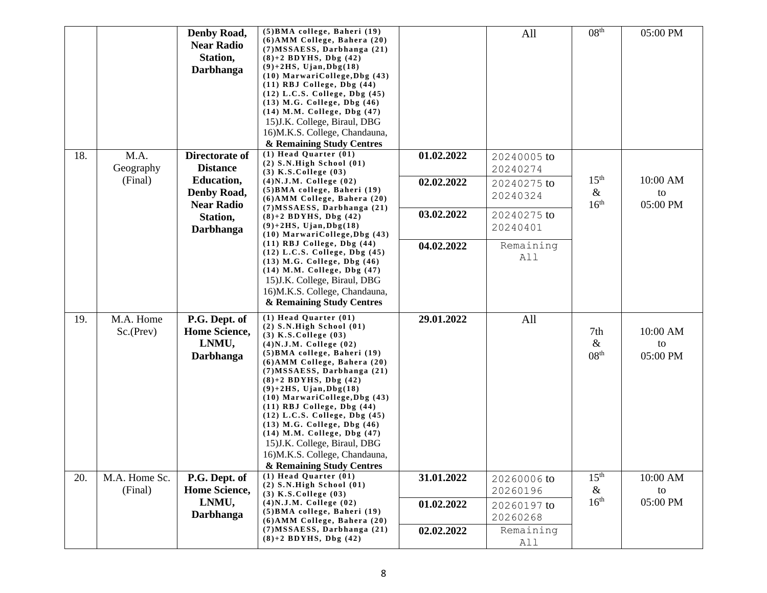|     |                        | Denby Road,<br><b>Near Radio</b><br>Station,<br>Darbhanga | (5) BMA college, Baheri (19)<br>(6) AMM College, Bahera (20)<br>$(7) MSSAESS$ , Darbhanga $(21)$<br>$(8)+2$ BDYHS, Dbg $(42)$<br>$(9)+2HS$ , Ujan, Dbg $(18)$<br>$(10)$ MarwariCollege, Dbg $(43)$<br>$(11)$ RBJ College, Dbg $(44)$<br>$(12)$ L.C.S. College, Dbg $(45)$<br>$(13)$ M.G. College, Dbg $(46)$<br>$(14)$ M.M. College, Dbg $(47)$<br>15) J.K. College, Biraul, DBG<br>16)M.K.S. College, Chandauna,<br>& Remaining Study Centres                                                                                                                      |            | All                                 | 08 <sup>th</sup>                             | 05:00 PM                   |
|-----|------------------------|-----------------------------------------------------------|---------------------------------------------------------------------------------------------------------------------------------------------------------------------------------------------------------------------------------------------------------------------------------------------------------------------------------------------------------------------------------------------------------------------------------------------------------------------------------------------------------------------------------------------------------------------|------------|-------------------------------------|----------------------------------------------|----------------------------|
| 18. | M.A.                   | Directorate of<br><b>Distance</b>                         | $(1)$ Head Quarter $(01)$<br>$(2)$ S.N.High School $(01)$                                                                                                                                                                                                                                                                                                                                                                                                                                                                                                           | 01.02.2022 | 20240005 to                         |                                              |                            |
|     | Geography<br>(Final)   | <b>Education,</b><br>Denby Road,<br><b>Near Radio</b>     | $(3)$ K.S.College $(03)$<br>$(4)$ N.J.M. College $(02)$<br>(5) BMA college, Baheri (19)<br>(6) AMM College, Bahera (20)                                                                                                                                                                                                                                                                                                                                                                                                                                             | 02.02.2022 | 20240274<br>20240275 to<br>20240324 | 15 <sup>th</sup><br>$\&$<br>16 <sup>th</sup> | 10:00 AM<br>to<br>05:00 PM |
|     |                        | Station,<br>Darbhanga                                     | $(7) MSSAESS$ , Darbhanga $(21)$<br>$(8)+2$ BDYHS, Dbg $(42)$<br>$(9)+2HS$ , Ujan, Dbg $(18)$<br>$(10)$ MarwariCollege, Dbg $(43)$                                                                                                                                                                                                                                                                                                                                                                                                                                  | 03.02.2022 | 20240275 to<br>20240401             |                                              |                            |
|     |                        |                                                           | $(11)$ RBJ College, Dbg $(44)$<br>$(12)$ L.C.S. College, Dbg $(45)$<br>$(13)$ M.G. College, Dbg $(46)$<br>(14) M.M. College, Dbg (47)<br>15) J.K. College, Biraul, DBG<br>16)M.K.S. College, Chandauna,<br>& Remaining Study Centres                                                                                                                                                                                                                                                                                                                                | 04.02.2022 | Remaining<br>All                    |                                              |                            |
| 19. | M.A. Home<br>Sc.(Prev) | P.G. Dept. of<br>Home Science,<br>LNMU,<br>Darbhanga      | $(1)$ Head Quarter $(01)$<br>$(2)$ S.N.High School $(01)$<br>$(3)$ K.S.College $(03)$<br>$(4)$ N.J.M. College $(02)$<br>(5) BMA college, Baheri (19)<br>(6) AMM College, Bahera (20)<br>$(7) MSSAESS$ , Darbhanga $(21)$<br>$(8)+2$ BDYHS, Dbg $(42)$<br>$(9)+2HS$ , Ujan, Dbg $(18)$<br>$(10)$ MarwariCollege, Dbg $(43)$<br>$(11)$ RBJ College, Dbg $(44)$<br>$(12)$ L.C.S. College, Dbg $(45)$<br>$(13)$ M.G. College, Dbg $(46)$<br>(14) M.M. College, Dbg (47)<br>15) J.K. College, Biraul, DBG<br>16) M.K.S. College, Chandauna,<br>& Remaining Study Centres | 29.01.2022 | All                                 | 7th<br>$\&$<br>08 <sup>th</sup>              | 10:00 AM<br>to<br>05:00 PM |
| 20. | M.A. Home Sc.          | P.G. Dept. of                                             | $(1)$ Head Quarter $(01)$<br>$(2)$ S.N.High School $(01)$                                                                                                                                                                                                                                                                                                                                                                                                                                                                                                           | 31.01.2022 | 20260006 to                         | 15 <sup>th</sup>                             | 10:00 AM                   |
|     | (Final)                | Home Science,<br>LNMU,<br>Darbhanga                       | $(3)$ K.S.College $(03)$<br>$(4)$ N.J.M. College $(02)$<br>(5) BMA college, Baheri (19)                                                                                                                                                                                                                                                                                                                                                                                                                                                                             | 01.02.2022 | 20260196<br>20260197 to<br>20260268 | $\&$<br>16 <sup>th</sup>                     | to<br>05:00 PM             |
|     |                        |                                                           | (6) AMM College, Bahera (20)<br>$(7) MSSAESS$ , Darbhanga $(21)$<br>$(8)+2$ BDYHS, Dbg $(42)$                                                                                                                                                                                                                                                                                                                                                                                                                                                                       | 02.02.2022 | Remaining<br>All                    |                                              |                            |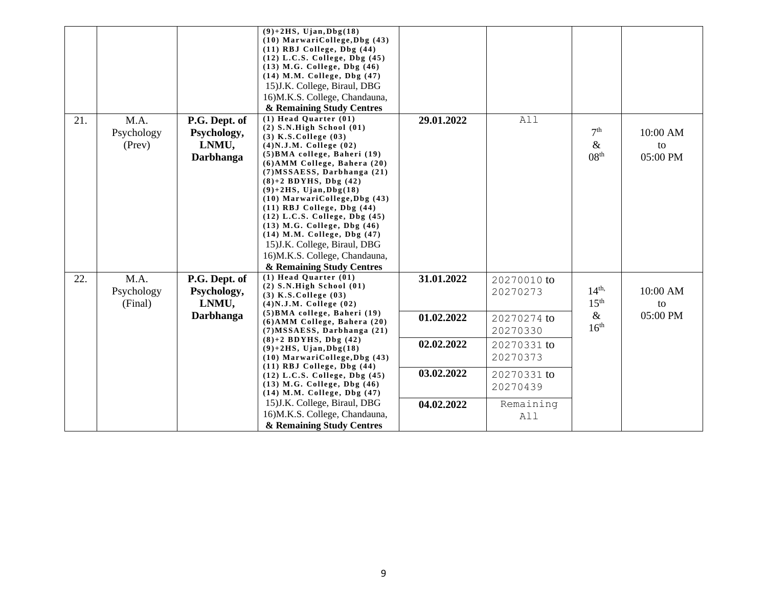|     |                               |                                                           | $(9)+2HS$ , Ujan, Dbg $(18)$<br>(10) MarwariCollege, Dbg (43)<br>$(11)$ RBJ College, Dbg $(44)$<br>$(12)$ L.C.S. College, Dbg $(45)$<br>$(13)$ M.G. College, Dbg $(46)$<br>(14) M.M. College, Dbg (47)<br>15) J.K. College, Biraul, DBG<br>16)M.K.S. College, Chandauna,<br>& Remaining Study Centres                                                                                                                                                                                                                                                                   |                                                                    |                                                                                                                              |                                                                  |                            |
|-----|-------------------------------|-----------------------------------------------------------|-------------------------------------------------------------------------------------------------------------------------------------------------------------------------------------------------------------------------------------------------------------------------------------------------------------------------------------------------------------------------------------------------------------------------------------------------------------------------------------------------------------------------------------------------------------------------|--------------------------------------------------------------------|------------------------------------------------------------------------------------------------------------------------------|------------------------------------------------------------------|----------------------------|
| 21. | M.A.<br>Psychology<br>(Prev)  | P.G. Dept. of<br>Psychology,<br>LNMU,<br><b>Darbhanga</b> | $(1)$ Head Quarter $(01)$<br>$(2)$ S.N.High School $(01)$<br>$(3)$ K.S. College $(03)$<br>$(4)$ N.J.M. College $(02)$<br>(5) BMA college, Baheri (19)<br>$(6)$ AMM College, Bahera $(20)$<br>$(7) MSSAESS$ , Darbhanga $(21)$<br>$(8)+2$ BDYHS, Dbg $(42)$<br>$(9)+2HS$ , Ujan, Dbg $(18)$<br>$(10)$ MarwariCollege, Dbg $(43)$<br>$(11)$ RBJ College, Dbg $(44)$<br>$(12)$ L.C.S. College, Dbg $(45)$<br>$(13)$ M.G. College, Dbg $(46)$<br>(14) M.M. College, Dbg (47)<br>15) J.K. College, Biraul, DBG<br>16)M.K.S. College, Chandauna,<br>& Remaining Study Centres | 29.01.2022                                                         | All                                                                                                                          | 7 <sup>th</sup><br>$\&$<br>08 <sup>th</sup>                      | 10:00 AM<br>to<br>05:00 PM |
| 22. | M.A.<br>Psychology<br>(Final) | P.G. Dept. of<br>Psychology,<br>LNMU,<br><b>Darbhanga</b> | $(1)$ Head Quarter $(01)$<br>$(2)$ S.N.High School $(01)$<br>$(3)$ K.S. College $(03)$<br>$(4)$ N.J.M. College $(02)$<br>(5) BMA college, Baheri (19)<br>(6) AMM College, Bahera (20)<br>(7) MSSAESS, Darbhanga (21)<br>$(8)+2$ BDYHS, Dbg $(42)$<br>$(9)+2HS$ , Ujan, Dbg $(18)$<br>$(10)$ MarwariCollege, Dbg $(43)$<br>$(11)$ RBJ College, Dbg $(44)$<br>$(12)$ L.C.S. College, Dbg $(45)$<br>$(13)$ M.G. College, Dbg $(46)$<br>(14) M.M. College, Dbg (47)<br>15) J.K. College, Biraul, DBG<br>16)M.K.S. College, Chandauna,                                       | 31.01.2022<br>01.02.2022<br>02.02.2022<br>03.02.2022<br>04.02.2022 | 20270010 to<br>20270273<br>20270274 to<br>20270330<br>20270331 to<br>20270373<br>20270331 to<br>20270439<br>Remaining<br>All | $14^{\text{th}}$<br>15 <sup>th</sup><br>$\&$<br>16 <sup>th</sup> | 10:00 AM<br>to<br>05:00 PM |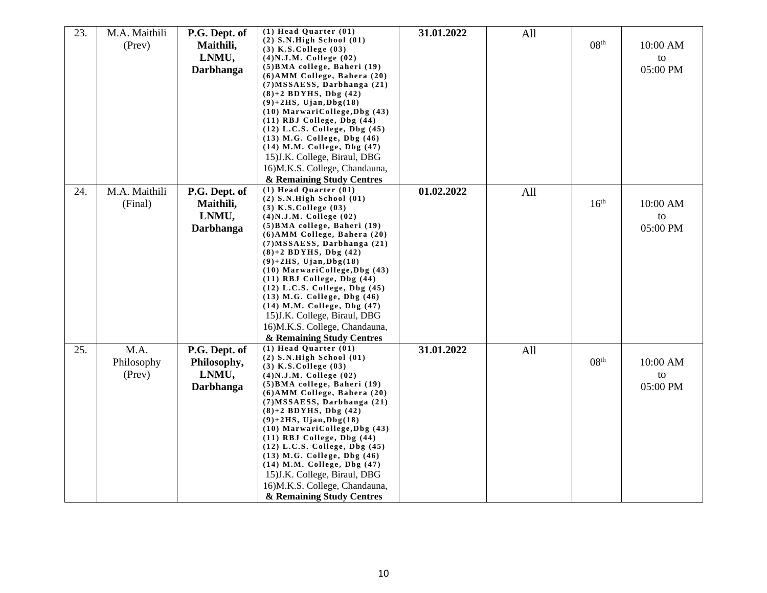| 23. | M.A. Maithili | P.G. Dept. of | $(1)$ Head Quarter $(01)$                                            | 31.01.2022 | All |                  |          |
|-----|---------------|---------------|----------------------------------------------------------------------|------------|-----|------------------|----------|
|     |               |               | $(2)$ S.N.High School $(01)$                                         |            |     | 08 <sup>th</sup> |          |
|     | (Prev)        | Maithili,     | $(3)$ K.S. College $(03)$                                            |            |     |                  | 10:00 AM |
|     |               | LNMU,         | $(4)$ N.J.M. College $(02)$                                          |            |     |                  | to       |
|     |               | Darbhanga     | (5) BMA college, Baheri (19)                                         |            |     |                  | 05:00 PM |
|     |               |               | $(6)$ AMM College, Bahera $(20)$                                     |            |     |                  |          |
|     |               |               | $(7) MSSAESS$ , Darbhanga $(21)$                                     |            |     |                  |          |
|     |               |               | $(8)+2$ BDYHS, Dbg $(42)$                                            |            |     |                  |          |
|     |               |               | $(9)+2HS$ , Ujan, Dbg $(18)$                                         |            |     |                  |          |
|     |               |               | $(10)$ MarwariCollege, Dbg $(43)$<br>$(11)$ RBJ College, Dbg $(44)$  |            |     |                  |          |
|     |               |               | $(12)$ L.C.S. College, Dbg $(45)$                                    |            |     |                  |          |
|     |               |               | $(13)$ M.G. College, Dbg $(46)$                                      |            |     |                  |          |
|     |               |               | $(14)$ M.M. College, Dbg $(47)$                                      |            |     |                  |          |
|     |               |               | 15) J.K. College, Biraul, DBG                                        |            |     |                  |          |
|     |               |               | 16)M.K.S. College, Chandauna,                                        |            |     |                  |          |
|     |               |               |                                                                      |            |     |                  |          |
|     |               |               | & Remaining Study Centres                                            |            |     |                  |          |
| 24. | M.A. Maithili | P.G. Dept. of | $(1)$ Head Quarter $(01)$<br>$(2)$ S.N.High School $(01)$            | 01.02.2022 | All |                  |          |
|     | (Final)       | Maithili,     | $(3)$ K.S.College $(03)$                                             |            |     | 16 <sup>th</sup> | 10:00 AM |
|     |               | LNMU,         | $(4)$ N.J.M. College $(02)$                                          |            |     |                  | to       |
|     |               |               | $(5)$ BMA college, Baheri $(19)$                                     |            |     |                  | 05:00 PM |
|     |               | Darbhanga     | (6) AMM College, Bahera (20)                                         |            |     |                  |          |
|     |               |               | $(7) MSSAESS$ , Darbhanga $(21)$                                     |            |     |                  |          |
|     |               |               | $(8)+2$ BDYHS, Dbg $(42)$                                            |            |     |                  |          |
|     |               |               | $(9)+2HS$ , Ujan, Dbg $(18)$                                         |            |     |                  |          |
|     |               |               | $(10)$ MarwariCollege, Dbg $(43)$                                    |            |     |                  |          |
|     |               |               | $(11)$ RBJ College, Dbg $(44)$                                       |            |     |                  |          |
|     |               |               | $(12)$ L.C.S. College, Dbg $(45)$                                    |            |     |                  |          |
|     |               |               | (13) M.G. College, Dbg (46)                                          |            |     |                  |          |
|     |               |               | $(14)$ M.M. College, Dbg $(47)$                                      |            |     |                  |          |
|     |               |               | 15) J.K. College, Biraul, DBG                                        |            |     |                  |          |
|     |               |               | 16)M.K.S. College, Chandauna,                                        |            |     |                  |          |
|     |               |               | & Remaining Study Centres                                            |            |     |                  |          |
| 25. | M.A.          | P.G. Dept. of | $(1)$ Head Quarter $(01)$                                            | 31.01.2022 | All |                  |          |
|     | Philosophy    | Philosophy,   | $(2)$ S.N.High School $(01)$                                         |            |     | 08 <sup>th</sup> | 10:00 AM |
|     |               |               | $(3)$ K.S.College $(03)$                                             |            |     |                  |          |
|     | (Prev)        | LNMU,         | $(4)$ N.J.M. College $(02)$                                          |            |     |                  | to       |
|     |               | Darbhanga     | (5) BMA college, Baheri (19)                                         |            |     |                  | 05:00 PM |
|     |               |               | $(6)$ AMM College, Bahera $(20)$<br>$(7) MSSAESS$ , Darbhanga $(21)$ |            |     |                  |          |
|     |               |               | $(8)+2$ BDYHS, Dbg $(42)$                                            |            |     |                  |          |
|     |               |               | $(9)+2HS$ , Ujan, Dbg $(18)$                                         |            |     |                  |          |
|     |               |               | $(10)$ MarwariCollege, Dbg $(43)$                                    |            |     |                  |          |
|     |               |               | $(11)$ RBJ College, Dbg $(44)$                                       |            |     |                  |          |
|     |               |               | $(12)$ L.C.S. College, Dbg $(45)$                                    |            |     |                  |          |
|     |               |               | $(13)$ M.G. College, Dbg $(46)$                                      |            |     |                  |          |
|     |               |               | $(14)$ M.M. College, Dbg $(47)$                                      |            |     |                  |          |
|     |               |               | 15) J.K. College, Biraul, DBG                                        |            |     |                  |          |
|     |               |               | 16)M.K.S. College, Chandauna,                                        |            |     |                  |          |
|     |               |               | & Remaining Study Centres                                            |            |     |                  |          |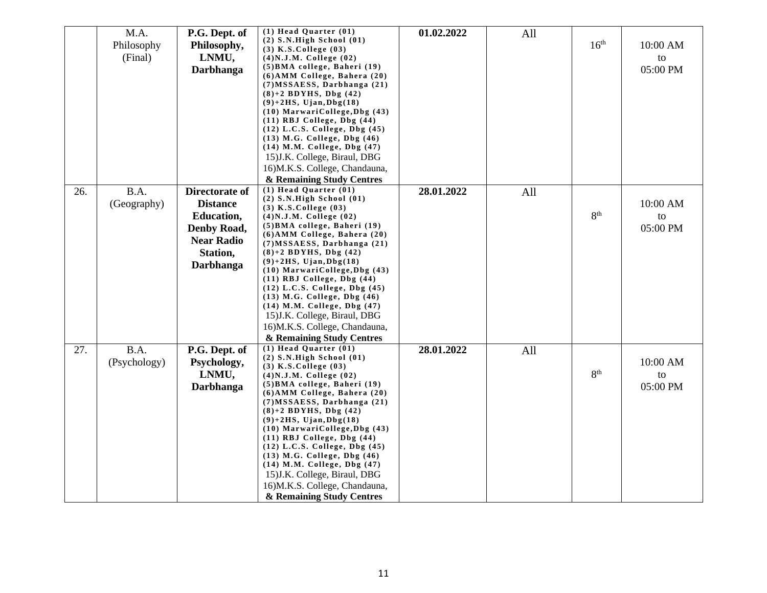|     | M.A.         | P.G. Dept. of     | $(1)$ Head Quarter $(01)$                                            | 01.02.2022 | All |                  |          |
|-----|--------------|-------------------|----------------------------------------------------------------------|------------|-----|------------------|----------|
|     |              |                   | $(2)$ S.N.High School $(01)$                                         |            |     |                  |          |
|     | Philosophy   | Philosophy,       | $(3)$ K.S. College $(03)$                                            |            |     | 16 <sup>th</sup> | 10:00 AM |
|     | (Final)      | LNMU,             | $(4)$ N.J.M. College $(02)$                                          |            |     |                  | to       |
|     |              | Darbhanga         | (5) BMA college, Baheri (19)                                         |            |     |                  | 05:00 PM |
|     |              |                   | (6) AMM College, Bahera (20)                                         |            |     |                  |          |
|     |              |                   | (7) MSSAESS, Darbhanga (21)                                          |            |     |                  |          |
|     |              |                   | $(8)+2$ BDYHS, Dbg $(42)$                                            |            |     |                  |          |
|     |              |                   | $(9)+2HS$ , Ujan, Dbg $(18)$                                         |            |     |                  |          |
|     |              |                   | $(10)$ MarwariCollege, Dbg $(43)$                                    |            |     |                  |          |
|     |              |                   | $(11)$ RBJ College, Dbg $(44)$                                       |            |     |                  |          |
|     |              |                   | $(12)$ L.C.S. College, Dbg $(45)$<br>$(13)$ M.G. College, Dbg $(46)$ |            |     |                  |          |
|     |              |                   | $(14)$ M.M. College, Dbg $(47)$                                      |            |     |                  |          |
|     |              |                   | 15) J.K. College, Biraul, DBG                                        |            |     |                  |          |
|     |              |                   | 16)M.K.S. College, Chandauna,                                        |            |     |                  |          |
|     |              |                   | & Remaining Study Centres                                            |            |     |                  |          |
| 26. | B.A.         | Directorate of    | $(1)$ Head Quarter $(01)$                                            | 28.01.2022 |     |                  |          |
|     |              |                   | $(2)$ S.N.High School $(01)$                                         |            | All |                  |          |
|     | (Geography)  | <b>Distance</b>   | $(3)$ K.S.College $(03)$                                             |            |     |                  | 10:00 AM |
|     |              | <b>Education,</b> | $(4)$ N.J.M. College $(02)$                                          |            |     | 8 <sup>th</sup>  | to       |
|     |              | Denby Road,       | (5) BMA college, Baheri (19)                                         |            |     |                  | 05:00 PM |
|     |              | <b>Near Radio</b> | (6) AMM College, Bahera (20)                                         |            |     |                  |          |
|     |              |                   | $(7) MSSAESS$ , Darbhanga $(21)$                                     |            |     |                  |          |
|     |              | Station,          | $(8)+2$ BDYHS, Dbg $(42)$                                            |            |     |                  |          |
|     |              | Darbhanga         | $(9)+2HS$ , Ujan, Dbg $(18)$                                         |            |     |                  |          |
|     |              |                   | $(10)$ MarwariCollege, Dbg $(43)$<br>$(11)$ RBJ College, Dbg $(44)$  |            |     |                  |          |
|     |              |                   | $(12)$ L.C.S. College, Dbg $(45)$                                    |            |     |                  |          |
|     |              |                   | $(13)$ M.G. College, Dbg $(46)$                                      |            |     |                  |          |
|     |              |                   | $(14)$ M.M. College, Dbg $(47)$                                      |            |     |                  |          |
|     |              |                   | 15) J.K. College, Biraul, DBG                                        |            |     |                  |          |
|     |              |                   | 16)M.K.S. College, Chandauna,                                        |            |     |                  |          |
|     |              |                   | & Remaining Study Centres                                            |            |     |                  |          |
| 27. | B.A.         | P.G. Dept. of     | $(1)$ Head Quarter $(01)$                                            | 28.01.2022 | All |                  |          |
|     |              |                   | $(2)$ S.N.High School $(01)$                                         |            |     |                  |          |
|     | (Psychology) | Psychology,       | $(3)$ K.S. College $(03)$                                            |            |     |                  | 10:00 AM |
|     |              | LNMU,             | $(4)$ N.J.M. College $(02)$                                          |            |     | 8 <sup>th</sup>  | to       |
|     |              | Darbhanga         | $(5)$ BMA college, Baheri $(19)$                                     |            |     |                  | 05:00 PM |
|     |              |                   | $(6)$ AMM College, Bahera $(20)$                                     |            |     |                  |          |
|     |              |                   | $(7) MSSAESS$ , Darbhanga $(21)$                                     |            |     |                  |          |
|     |              |                   | $(8)+2$ BDYHS, Dbg $(42)$<br>$(9)+2HS$ , Ujan, Dbg $(18)$            |            |     |                  |          |
|     |              |                   | $(10)$ MarwariCollege, Dbg $(43)$                                    |            |     |                  |          |
|     |              |                   | (11) RBJ College, Dbg (44)                                           |            |     |                  |          |
|     |              |                   | $(12)$ L.C.S. College, Dbg $(45)$                                    |            |     |                  |          |
|     |              |                   | $(13)$ M.G. College, Dbg $(46)$                                      |            |     |                  |          |
|     |              |                   | (14) M.M. College, Dbg (47)                                          |            |     |                  |          |
|     |              |                   | 15) J.K. College, Biraul, DBG                                        |            |     |                  |          |
|     |              |                   | 16)M.K.S. College, Chandauna,                                        |            |     |                  |          |
|     |              |                   | & Remaining Study Centres                                            |            |     |                  |          |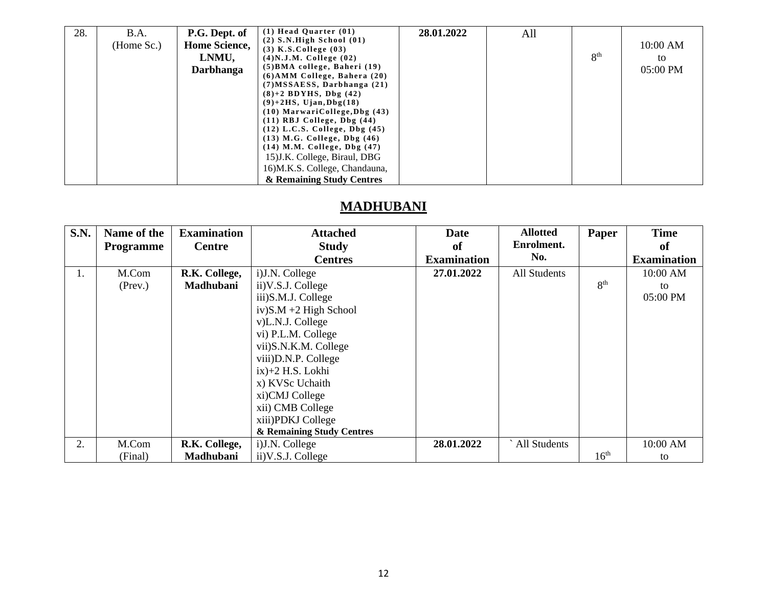| 28. | B.A.       | P.G. Dept. of        | $(1)$ Head Quarter $(01)$         | 28.01.2022 | All |                 |            |
|-----|------------|----------------------|-----------------------------------|------------|-----|-----------------|------------|
|     | (Home Sc.) | <b>Home Science,</b> | $(2)$ S.N.High School $(01)$      |            |     |                 | $10:00$ AM |
|     |            |                      | $(3)$ K.S. College $(03)$         |            |     |                 |            |
|     |            | LNMU,                | $(4)$ N.J.M. College $(02)$       |            |     | 8 <sup>th</sup> | to         |
|     |            | <b>Darbhanga</b>     | $(5)$ BMA college, Baheri $(19)$  |            |     |                 | 05:00 PM   |
|     |            |                      | $(6)$ AMM College, Bahera $(20)$  |            |     |                 |            |
|     |            |                      | $(7) MSSAESS$ , Darbhanga $(21)$  |            |     |                 |            |
|     |            |                      | $(8)+2$ BDYHS, Dbg $(42)$         |            |     |                 |            |
|     |            |                      | $(9)+2HS$ , Ujan, Dbg $(18)$      |            |     |                 |            |
|     |            |                      | $(10)$ MarwariCollege, Dbg $(43)$ |            |     |                 |            |
|     |            |                      | $(11)$ RBJ College, Dbg $(44)$    |            |     |                 |            |
|     |            |                      | $(12)$ L.C.S. College, Dbg $(45)$ |            |     |                 |            |
|     |            |                      | $(13)$ M.G. College, Dbg $(46)$   |            |     |                 |            |
|     |            |                      | $(14)$ M.M. College, Dbg $(47)$   |            |     |                 |            |
|     |            |                      | 15) J.K. College, Biraul, DBG     |            |     |                 |            |
|     |            |                      | 16) M.K.S. College, Chandauna,    |            |     |                 |            |
|     |            |                      | & Remaining Study Centres         |            |     |                 |            |

## **MADHUBANI**

| <b>S.N.</b> | Name of the      | <b>Examination</b> | <b>Attached</b>           | <b>Date</b>        | <b>Allotted</b> | Paper            | <b>Time</b>        |
|-------------|------------------|--------------------|---------------------------|--------------------|-----------------|------------------|--------------------|
|             | <b>Programme</b> | <b>Centre</b>      | <b>Study</b>              | of                 | Enrolment.      |                  | <sub>of</sub>      |
|             |                  |                    | <b>Centres</b>            | <b>Examination</b> | No.             |                  | <b>Examination</b> |
| 1.          | M.Com            | R.K. College,      | i) J.N. College           | 27.01.2022         | All Students    |                  | 10:00 AM           |
|             | (Prev.)          | Madhubani          | ii) V.S.J. College        |                    |                 | 8 <sup>th</sup>  | to                 |
|             |                  |                    | iii)S.M.J. College        |                    |                 |                  | 05:00 PM           |
|             |                  |                    | $iv)$ S.M +2 High School  |                    |                 |                  |                    |
|             |                  |                    | v)L.N.J. College          |                    |                 |                  |                    |
|             |                  |                    | vi) P.L.M. College        |                    |                 |                  |                    |
|             |                  |                    | vii)S.N.K.M. College      |                    |                 |                  |                    |
|             |                  |                    | viii)D.N.P. College       |                    |                 |                  |                    |
|             |                  |                    | $ix)+2$ H.S. Lokhi        |                    |                 |                  |                    |
|             |                  |                    | x) KVSc Uchaith           |                    |                 |                  |                    |
|             |                  |                    | xi)CMJ College            |                    |                 |                  |                    |
|             |                  |                    | xii) CMB College          |                    |                 |                  |                    |
|             |                  |                    | xiii)PDKJ College         |                    |                 |                  |                    |
|             |                  |                    | & Remaining Study Centres |                    |                 |                  |                    |
| 2.          | M.Com            | R.K. College,      | i) J.N. College           | 28.01.2022         | All Students    |                  | 10:00 AM           |
|             | (Final)          | Madhubani          | ii) V.S.J. College        |                    |                 | 16 <sup>th</sup> | to                 |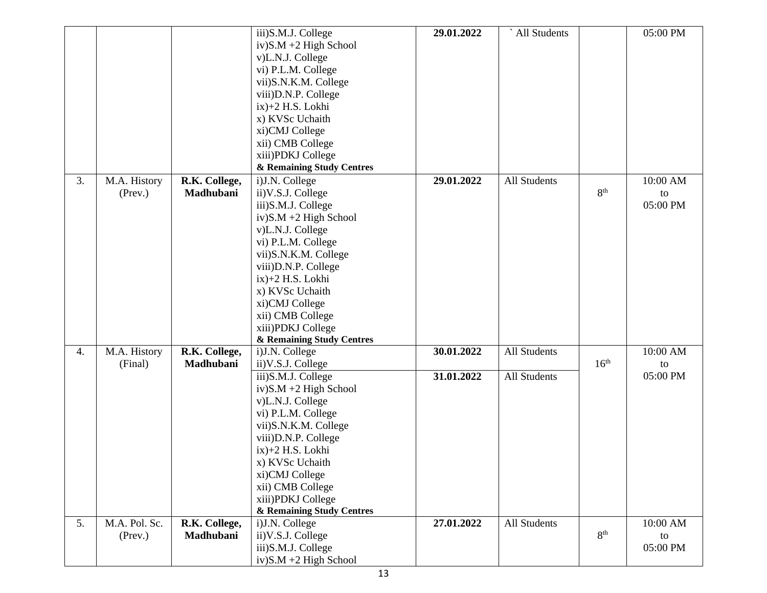|    |               |               | iii)S.M.J. College        | 29.01.2022 | All Students |                  | 05:00 PM |
|----|---------------|---------------|---------------------------|------------|--------------|------------------|----------|
|    |               |               | $iv)$ S.M +2 High School  |            |              |                  |          |
|    |               |               | v)L.N.J. College          |            |              |                  |          |
|    |               |               | vi) P.L.M. College        |            |              |                  |          |
|    |               |               | vii)S.N.K.M. College      |            |              |                  |          |
|    |               |               | viii)D.N.P. College       |            |              |                  |          |
|    |               |               | ix)+2 H.S. Lokhi          |            |              |                  |          |
|    |               |               | x) KVSc Uchaith           |            |              |                  |          |
|    |               |               | xi)CMJ College            |            |              |                  |          |
|    |               |               | xii) CMB College          |            |              |                  |          |
|    |               |               | xiii)PDKJ College         |            |              |                  |          |
|    |               |               | & Remaining Study Centres |            |              |                  |          |
| 3. |               |               |                           | 29.01.2022 | All Students |                  | 10:00 AM |
|    | M.A. History  | R.K. College, | i)J.N. College            |            |              | 8 <sup>th</sup>  |          |
|    | (Prev.)       | Madhubani     | ii) V.S.J. College        |            |              |                  | to       |
|    |               |               | iii)S.M.J. College        |            |              |                  | 05:00 PM |
|    |               |               | $iv)$ S.M +2 High School  |            |              |                  |          |
|    |               |               | v)L.N.J. College          |            |              |                  |          |
|    |               |               | vi) P.L.M. College        |            |              |                  |          |
|    |               |               | vii)S.N.K.M. College      |            |              |                  |          |
|    |               |               | viii)D.N.P. College       |            |              |                  |          |
|    |               |               | $ix)+2$ H.S. Lokhi        |            |              |                  |          |
|    |               |               | x) KVSc Uchaith           |            |              |                  |          |
|    |               |               | xi)CMJ College            |            |              |                  |          |
|    |               |               | xii) CMB College          |            |              |                  |          |
|    |               |               | xiii)PDKJ College         |            |              |                  |          |
|    |               |               | & Remaining Study Centres |            |              |                  |          |
| 4. | M.A. History  | R.K. College, | i)J.N. College            | 30.01.2022 | All Students |                  | 10:00 AM |
|    | (Final)       | Madhubani     | ii) V.S.J. College        |            |              | 16 <sup>th</sup> | to       |
|    |               |               | iii)S.M.J. College        | 31.01.2022 | All Students |                  | 05:00 PM |
|    |               |               | $iv)$ S.M +2 High School  |            |              |                  |          |
|    |               |               | v)L.N.J. College          |            |              |                  |          |
|    |               |               | vi) P.L.M. College        |            |              |                  |          |
|    |               |               | vii)S.N.K.M. College      |            |              |                  |          |
|    |               |               | viii)D.N.P. College       |            |              |                  |          |
|    |               |               | ix)+2 H.S. Lokhi          |            |              |                  |          |
|    |               |               | x) KVSc Uchaith           |            |              |                  |          |
|    |               |               | xi)CMJ College            |            |              |                  |          |
|    |               |               | xii) CMB College          |            |              |                  |          |
|    |               |               | xiii)PDKJ College         |            |              |                  |          |
|    |               |               | & Remaining Study Centres |            |              |                  |          |
| 5. | M.A. Pol. Sc. | R.K. College, | i)J.N. College            | 27.01.2022 | All Students |                  | 10:00 AM |
|    | $($ Prev. $)$ | Madhubani     | ii) V.S.J. College        |            |              | 8 <sup>th</sup>  | to       |
|    |               |               | iii)S.M.J. College        |            |              |                  | 05:00 PM |
|    |               |               | $iv)$ S.M +2 High School  |            |              |                  |          |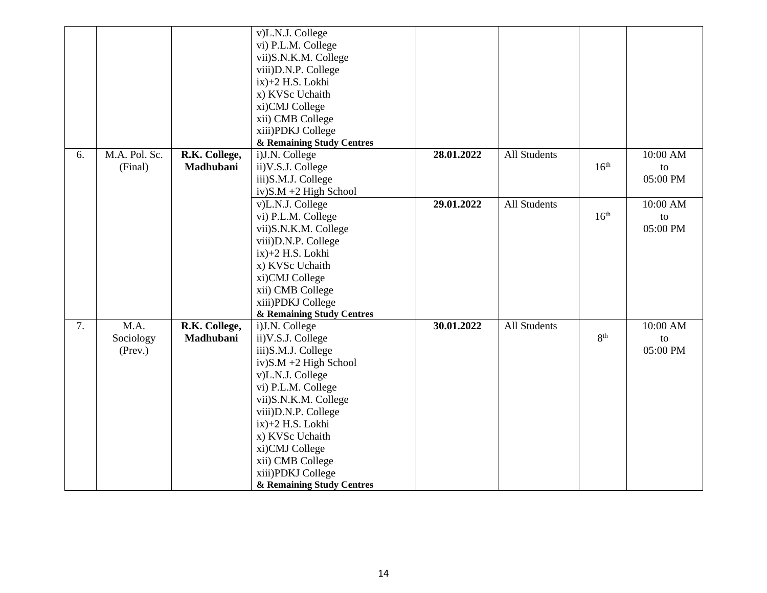|    |               |               | v)L.N.J. College          |            |              |                  |          |
|----|---------------|---------------|---------------------------|------------|--------------|------------------|----------|
|    |               |               | vi) P.L.M. College        |            |              |                  |          |
|    |               |               | vii)S.N.K.M. College      |            |              |                  |          |
|    |               |               | viii)D.N.P. College       |            |              |                  |          |
|    |               |               | ix)+2 H.S. Lokhi          |            |              |                  |          |
|    |               |               | x) KVSc Uchaith           |            |              |                  |          |
|    |               |               | xi)CMJ College            |            |              |                  |          |
|    |               |               | xii) CMB College          |            |              |                  |          |
|    |               |               | xiii)PDKJ College         |            |              |                  |          |
|    |               |               | & Remaining Study Centres |            |              |                  |          |
| 6. | M.A. Pol. Sc. | R.K. College, | i)J.N. College            | 28.01.2022 | All Students |                  | 10:00 AM |
|    | (Final)       | Madhubani     | ii) V.S.J. College        |            |              | 16 <sup>th</sup> | to       |
|    |               |               | iii)S.M.J. College        |            |              |                  | 05:00 PM |
|    |               |               | $iv)$ S.M +2 High School  |            |              |                  |          |
|    |               |               | v)L.N.J. College          | 29.01.2022 | All Students |                  | 10:00 AM |
|    |               |               | vi) P.L.M. College        |            |              | 16 <sup>th</sup> | to       |
|    |               |               | vii)S.N.K.M. College      |            |              |                  | 05:00 PM |
|    |               |               | viii)D.N.P. College       |            |              |                  |          |
|    |               |               | ix)+2 H.S. Lokhi          |            |              |                  |          |
|    |               |               | x) KVSc Uchaith           |            |              |                  |          |
|    |               |               | xi)CMJ College            |            |              |                  |          |
|    |               |               | xii) CMB College          |            |              |                  |          |
|    |               |               | xiii)PDKJ College         |            |              |                  |          |
|    |               |               | & Remaining Study Centres |            |              |                  |          |
| 7. | M.A.          | R.K. College, | i)J.N. College            | 30.01.2022 | All Students |                  | 10:00 AM |
|    | Sociology     | Madhubani     | ii) V.S.J. College        |            |              | 8 <sup>th</sup>  | to       |
|    | (Prev.)       |               | iii)S.M.J. College        |            |              |                  | 05:00 PM |
|    |               |               | $iv)$ S.M +2 High School  |            |              |                  |          |
|    |               |               | v)L.N.J. College          |            |              |                  |          |
|    |               |               | vi) P.L.M. College        |            |              |                  |          |
|    |               |               | vii)S.N.K.M. College      |            |              |                  |          |
|    |               |               | viii)D.N.P. College       |            |              |                  |          |
|    |               |               | $ix$ $+2$ H.S. Lokhi      |            |              |                  |          |
|    |               |               | x) KVSc Uchaith           |            |              |                  |          |
|    |               |               | xi)CMJ College            |            |              |                  |          |
|    |               |               | xii) CMB College          |            |              |                  |          |
|    |               |               | xiii)PDKJ College         |            |              |                  |          |
|    |               |               | & Remaining Study Centres |            |              |                  |          |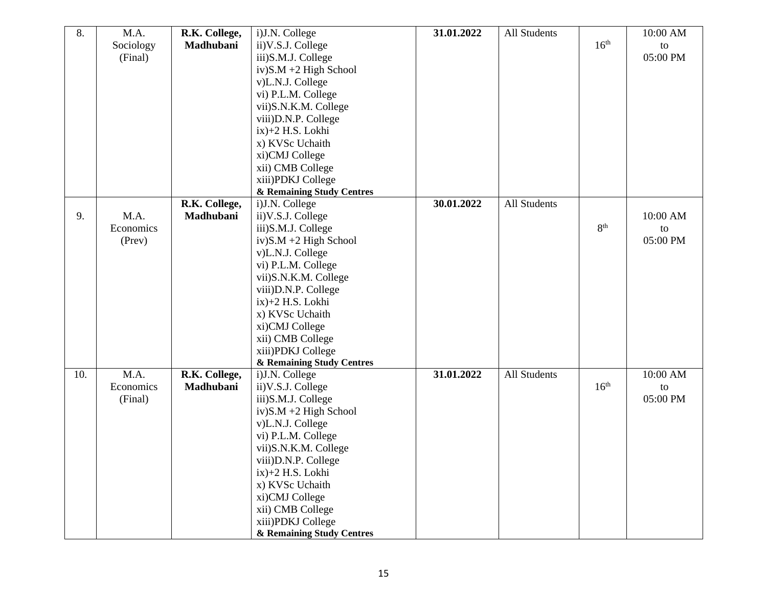| 8.  | M.A.      | R.K. College, | i)J.N. College            | 31.01.2022 | All Students |                  | 10:00 AM |
|-----|-----------|---------------|---------------------------|------------|--------------|------------------|----------|
|     | Sociology | Madhubani     | ii) V.S.J. College        |            |              | 16 <sup>th</sup> | to       |
|     | (Final)   |               | iii)S.M.J. College        |            |              |                  | 05:00 PM |
|     |           |               | $iv)$ S.M +2 High School  |            |              |                  |          |
|     |           |               | v)L.N.J. College          |            |              |                  |          |
|     |           |               | vi) P.L.M. College        |            |              |                  |          |
|     |           |               | vii)S.N.K.M. College      |            |              |                  |          |
|     |           |               | viii) D.N.P. College      |            |              |                  |          |
|     |           |               | $ix$ $+2$ H.S. Lokhi      |            |              |                  |          |
|     |           |               | x) KVSc Uchaith           |            |              |                  |          |
|     |           |               | xi)CMJ College            |            |              |                  |          |
|     |           |               | xii) CMB College          |            |              |                  |          |
|     |           |               | xiii)PDKJ College         |            |              |                  |          |
|     |           |               | & Remaining Study Centres |            |              |                  |          |
|     |           | R.K. College, | i)J.N. College            | 30.01.2022 | All Students |                  |          |
| 9.  | M.A.      | Madhubani     | ii) V.S.J. College        |            |              |                  | 10:00 AM |
|     | Economics |               | iii)S.M.J. College        |            |              | 8 <sup>th</sup>  | to       |
|     | (Prev)    |               | $iv)$ S.M +2 High School  |            |              |                  | 05:00 PM |
|     |           |               | v)L.N.J. College          |            |              |                  |          |
|     |           |               | vi) P.L.M. College        |            |              |                  |          |
|     |           |               | vii)S.N.K.M. College      |            |              |                  |          |
|     |           |               | viii)D.N.P. College       |            |              |                  |          |
|     |           |               | $ix$ $+2$ H.S. Lokhi      |            |              |                  |          |
|     |           |               | x) KVSc Uchaith           |            |              |                  |          |
|     |           |               | xi)CMJ College            |            |              |                  |          |
|     |           |               | xii) CMB College          |            |              |                  |          |
|     |           |               | xiii)PDKJ College         |            |              |                  |          |
|     |           |               | & Remaining Study Centres |            |              |                  |          |
| 10. | M.A.      | R.K. College, | i)J.N. College            | 31.01.2022 | All Students |                  | 10:00 AM |
|     | Economics | Madhubani     | ii) V.S.J. College        |            |              | 16 <sup>th</sup> | to       |
|     | (Final)   |               | iii)S.M.J. College        |            |              |                  | 05:00 PM |
|     |           |               | iv)S.M +2 High School     |            |              |                  |          |
|     |           |               | v)L.N.J. College          |            |              |                  |          |
|     |           |               | vi) P.L.M. College        |            |              |                  |          |
|     |           |               | vii)S.N.K.M. College      |            |              |                  |          |
|     |           |               | viii) D.N.P. College      |            |              |                  |          |
|     |           |               | ix)+2 H.S. Lokhi          |            |              |                  |          |
|     |           |               | x) KVSc Uchaith           |            |              |                  |          |
|     |           |               | xi)CMJ College            |            |              |                  |          |
|     |           |               | xii) CMB College          |            |              |                  |          |
|     |           |               | xiii)PDKJ College         |            |              |                  |          |
|     |           |               | & Remaining Study Centres |            |              |                  |          |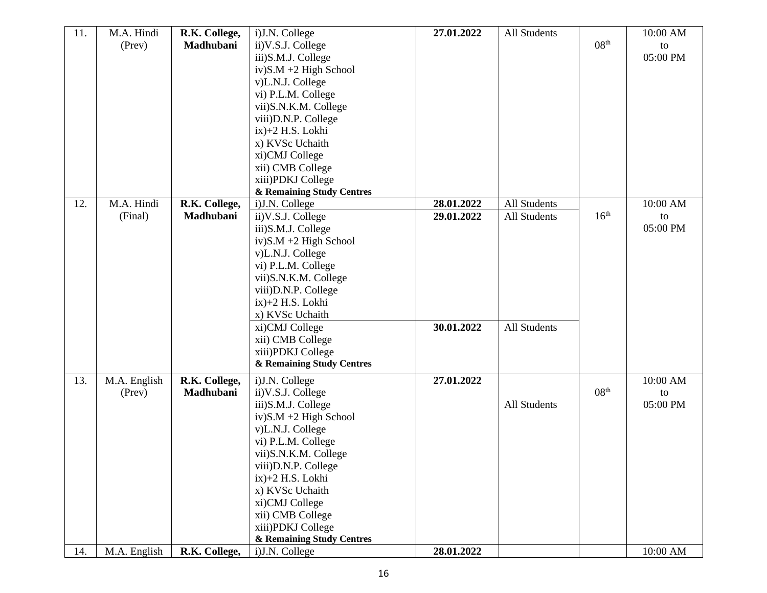| 11. | M.A. Hindi   | R.K. College, | i)J.N. College            | 27.01.2022 | All Students        |                  | 10:00 AM |
|-----|--------------|---------------|---------------------------|------------|---------------------|------------------|----------|
|     | (Prev)       | Madhubani     | ii) V.S.J. College        |            |                     | 08 <sup>th</sup> | to       |
|     |              |               | iii)S.M.J. College        |            |                     |                  | 05:00 PM |
|     |              |               | $iv)$ S.M +2 High School  |            |                     |                  |          |
|     |              |               | v)L.N.J. College          |            |                     |                  |          |
|     |              |               | vi) P.L.M. College        |            |                     |                  |          |
|     |              |               | vii)S.N.K.M. College      |            |                     |                  |          |
|     |              |               | viii)D.N.P. College       |            |                     |                  |          |
|     |              |               | ix)+2 H.S. Lokhi          |            |                     |                  |          |
|     |              |               | x) KVSc Uchaith           |            |                     |                  |          |
|     |              |               | xi)CMJ College            |            |                     |                  |          |
|     |              |               | xii) CMB College          |            |                     |                  |          |
|     |              |               | xiii)PDKJ College         |            |                     |                  |          |
|     |              |               | & Remaining Study Centres |            |                     |                  |          |
| 12. | M.A. Hindi   | R.K. College, | i)J.N. College            | 28.01.2022 | All Students        |                  | 10:00 AM |
|     | (Final)      | Madhubani     | ii) V.S.J. College        | 29.01.2022 | All Students        | 16 <sup>th</sup> | to       |
|     |              |               | iii)S.M.J. College        |            |                     |                  | 05:00 PM |
|     |              |               | $iv)$ S.M +2 High School  |            |                     |                  |          |
|     |              |               | v)L.N.J. College          |            |                     |                  |          |
|     |              |               | vi) P.L.M. College        |            |                     |                  |          |
|     |              |               | vii)S.N.K.M. College      |            |                     |                  |          |
|     |              |               | viii)D.N.P. College       |            |                     |                  |          |
|     |              |               | $ix$ $+2$ H.S. Lokhi      |            |                     |                  |          |
|     |              |               | x) KVSc Uchaith           |            |                     |                  |          |
|     |              |               | xi)CMJ College            | 30.01.2022 | All Students        |                  |          |
|     |              |               | xii) CMB College          |            |                     |                  |          |
|     |              |               | xiii)PDKJ College         |            |                     |                  |          |
|     |              |               | & Remaining Study Centres |            |                     |                  |          |
| 13. | M.A. English | R.K. College, | i)J.N. College            | 27.01.2022 |                     |                  | 10:00 AM |
|     | (Prev)       | Madhubani     | ii) V.S.J. College        |            |                     | 08 <sup>th</sup> | to       |
|     |              |               | iii)S.M.J. College        |            | <b>All Students</b> |                  | 05:00 PM |
|     |              |               | $iv)$ S.M +2 High School  |            |                     |                  |          |
|     |              |               | v)L.N.J. College          |            |                     |                  |          |
|     |              |               | vi) P.L.M. College        |            |                     |                  |          |
|     |              |               | vii)S.N.K.M. College      |            |                     |                  |          |
|     |              |               | viii)D.N.P. College       |            |                     |                  |          |
|     |              |               | $ix$ )+2 H.S. Lokhi       |            |                     |                  |          |
|     |              |               | x) KVSc Uchaith           |            |                     |                  |          |
|     |              |               | xi)CMJ College            |            |                     |                  |          |
|     |              |               | xii) CMB College          |            |                     |                  |          |
|     |              |               | xiii)PDKJ College         |            |                     |                  |          |
|     |              |               | & Remaining Study Centres |            |                     |                  |          |
| 14. | M.A. English | R.K. College, | i)J.N. College            | 28.01.2022 |                     |                  | 10:00 AM |
|     |              |               |                           |            |                     |                  |          |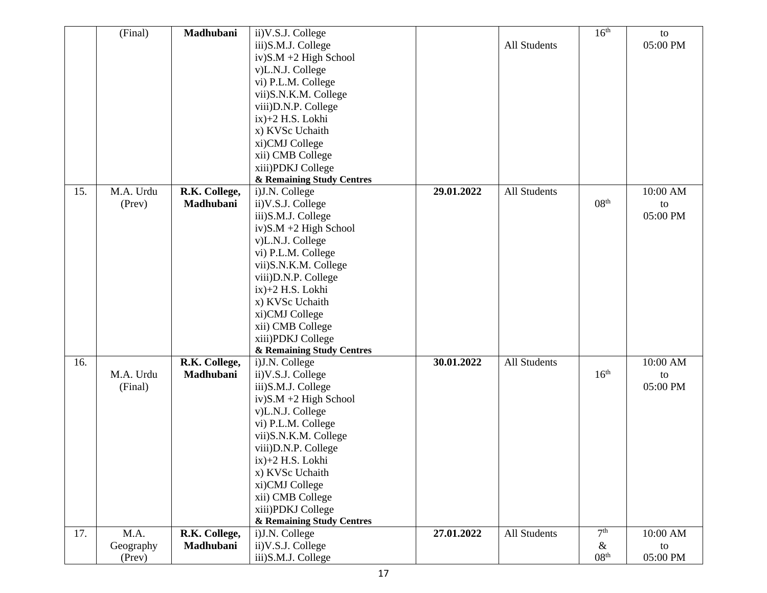|     | (Final)   | Madhubani     | ii) V.S.J. College        |            |              | 16 <sup>th</sup> | to       |
|-----|-----------|---------------|---------------------------|------------|--------------|------------------|----------|
|     |           |               | iii)S.M.J. College        |            | All Students |                  | 05:00 PM |
|     |           |               | $iv)$ S.M +2 High School  |            |              |                  |          |
|     |           |               | v)L.N.J. College          |            |              |                  |          |
|     |           |               | vi) P.L.M. College        |            |              |                  |          |
|     |           |               | vii)S.N.K.M. College      |            |              |                  |          |
|     |           |               | viii) D.N.P. College      |            |              |                  |          |
|     |           |               | ix)+2 H.S. Lokhi          |            |              |                  |          |
|     |           |               | x) KVSc Uchaith           |            |              |                  |          |
|     |           |               | xi)CMJ College            |            |              |                  |          |
|     |           |               | xii) CMB College          |            |              |                  |          |
|     |           |               |                           |            |              |                  |          |
|     |           |               | xiii)PDKJ College         |            |              |                  |          |
| 15. | M.A. Urdu |               | & Remaining Study Centres | 29.01.2022 | All Students |                  | 10:00 AM |
|     |           | R.K. College, | i)J.N. College            |            |              | 08 <sup>th</sup> |          |
|     | (Prev)    | Madhubani     | ii) V.S.J. College        |            |              |                  | to       |
|     |           |               | iii)S.M.J. College        |            |              |                  | 05:00 PM |
|     |           |               | $iv)$ S.M +2 High School  |            |              |                  |          |
|     |           |               | v)L.N.J. College          |            |              |                  |          |
|     |           |               | vi) P.L.M. College        |            |              |                  |          |
|     |           |               | vii)S.N.K.M. College      |            |              |                  |          |
|     |           |               | viii) D.N.P. College      |            |              |                  |          |
|     |           |               | ix)+2 H.S. Lokhi          |            |              |                  |          |
|     |           |               | x) KVSc Uchaith           |            |              |                  |          |
|     |           |               | xi)CMJ College            |            |              |                  |          |
|     |           |               | xii) CMB College          |            |              |                  |          |
|     |           |               | xiii)PDKJ College         |            |              |                  |          |
|     |           |               | & Remaining Study Centres |            |              |                  |          |
| 16. |           | R.K. College, | i)J.N. College            | 30.01.2022 | All Students |                  | 10:00 AM |
|     | M.A. Urdu | Madhubani     | ii) V.S.J. College        |            |              | 16 <sup>th</sup> | to       |
|     | (Final)   |               | iii)S.M.J. College        |            |              |                  | 05:00 PM |
|     |           |               | $iv)$ S.M +2 High School  |            |              |                  |          |
|     |           |               | v)L.N.J. College          |            |              |                  |          |
|     |           |               | vi) P.L.M. College        |            |              |                  |          |
|     |           |               | vii)S.N.K.M. College      |            |              |                  |          |
|     |           |               | viii) D.N.P. College      |            |              |                  |          |
|     |           |               | ix)+2 H.S. Lokhi          |            |              |                  |          |
|     |           |               | x) KVSc Uchaith           |            |              |                  |          |
|     |           |               | xi)CMJ College            |            |              |                  |          |
|     |           |               | xii) CMB College          |            |              |                  |          |
|     |           |               | xiii)PDKJ College         |            |              |                  |          |
|     |           |               | & Remaining Study Centres |            |              |                  |          |
| 17. | M.A.      | R.K. College, | i)J.N. College            | 27.01.2022 | All Students | 7 <sup>th</sup>  | 10:00 AM |
|     | Geography | Madhubani     | ii) V.S.J. College        |            |              | $\&$             | to       |
|     | (Prev)    |               | iii)S.M.J. College        |            |              | 08 <sup>th</sup> | 05:00 PM |
|     |           |               |                           |            |              |                  |          |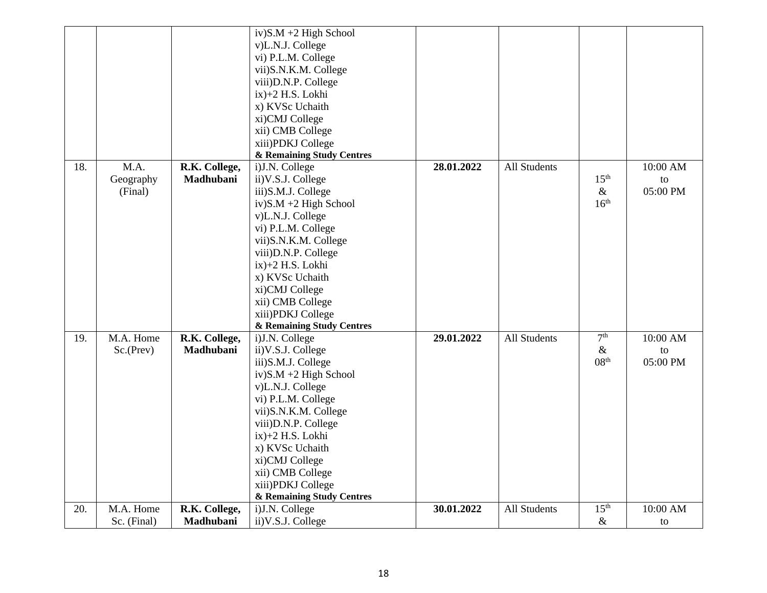|     |             |               | $iv)$ S.M +2 High School  |            |              |                          |                |
|-----|-------------|---------------|---------------------------|------------|--------------|--------------------------|----------------|
|     |             |               | v)L.N.J. College          |            |              |                          |                |
|     |             |               | vi) P.L.M. College        |            |              |                          |                |
|     |             |               | vii)S.N.K.M. College      |            |              |                          |                |
|     |             |               | viii) D.N.P. College      |            |              |                          |                |
|     |             |               | $ix$ $+2$ H.S. Lokhi      |            |              |                          |                |
|     |             |               | x) KVSc Uchaith           |            |              |                          |                |
|     |             |               | xi)CMJ College            |            |              |                          |                |
|     |             |               | xii) CMB College          |            |              |                          |                |
|     |             |               | xiii)PDKJ College         |            |              |                          |                |
|     |             |               | & Remaining Study Centres |            |              |                          |                |
| 18. | M.A.        | R.K. College, | i)J.N. College            | 28.01.2022 | All Students |                          | 10:00 AM       |
|     |             | Madhubani     |                           |            |              | 15 <sup>th</sup>         |                |
|     | Geography   |               | ii) V.S.J. College        |            |              |                          | to<br>05:00 PM |
|     | (Final)     |               | iii)S.M.J. College        |            |              | $\&$<br>16 <sup>th</sup> |                |
|     |             |               | $iv)$ S.M +2 High School  |            |              |                          |                |
|     |             |               | v)L.N.J. College          |            |              |                          |                |
|     |             |               | vi) P.L.M. College        |            |              |                          |                |
|     |             |               | vii)S.N.K.M. College      |            |              |                          |                |
|     |             |               | viii)D.N.P. College       |            |              |                          |                |
|     |             |               | $ix$ )+2 H.S. Lokhi       |            |              |                          |                |
|     |             |               | x) KVSc Uchaith           |            |              |                          |                |
|     |             |               | xi)CMJ College            |            |              |                          |                |
|     |             |               | xii) CMB College          |            |              |                          |                |
|     |             |               | xiii)PDKJ College         |            |              |                          |                |
|     |             |               | & Remaining Study Centres |            |              |                          |                |
| 19. | M.A. Home   | R.K. College, | i)J.N. College            | 29.01.2022 | All Students | 7 <sup>th</sup>          | 10:00 AM       |
|     | Sc.(Prev)   | Madhubani     | ii) V.S.J. College        |            |              | $\&$                     | to             |
|     |             |               | iii)S.M.J. College        |            |              | 08 <sup>th</sup>         | 05:00 PM       |
|     |             |               | $iv)$ S.M +2 High School  |            |              |                          |                |
|     |             |               | v)L.N.J. College          |            |              |                          |                |
|     |             |               | vi) P.L.M. College        |            |              |                          |                |
|     |             |               | vii)S.N.K.M. College      |            |              |                          |                |
|     |             |               | viii)D.N.P. College       |            |              |                          |                |
|     |             |               | $ix$ )+2 H.S. Lokhi       |            |              |                          |                |
|     |             |               | x) KVSc Uchaith           |            |              |                          |                |
|     |             |               | xi)CMJ College            |            |              |                          |                |
|     |             |               | xii) CMB College          |            |              |                          |                |
|     |             |               | xiii)PDKJ College         |            |              |                          |                |
|     |             |               | & Remaining Study Centres |            |              |                          |                |
| 20. | M.A. Home   | R.K. College, | i)J.N. College            | 30.01.2022 | All Students | 15 <sup>th</sup>         | 10:00 AM       |
|     | Sc. (Final) | Madhubani     | ii) V.S.J. College        |            |              | $\&$                     | to             |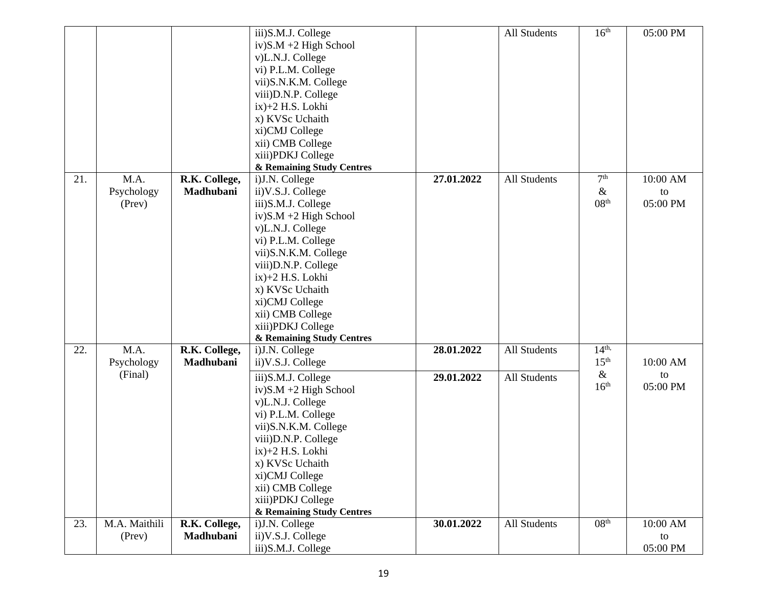|     |               |               | iii)S.M.J. College        |            | All Students        | 16 <sup>th</sup> | 05:00 PM |
|-----|---------------|---------------|---------------------------|------------|---------------------|------------------|----------|
|     |               |               | $iv)$ S.M +2 High School  |            |                     |                  |          |
|     |               |               | v)L.N.J. College          |            |                     |                  |          |
|     |               |               | vi) P.L.M. College        |            |                     |                  |          |
|     |               |               | vii)S.N.K.M. College      |            |                     |                  |          |
|     |               |               | viii)D.N.P. College       |            |                     |                  |          |
|     |               |               | $ix)+2$ H.S. Lokhi        |            |                     |                  |          |
|     |               |               |                           |            |                     |                  |          |
|     |               |               | x) KVSc Uchaith           |            |                     |                  |          |
|     |               |               | xi)CMJ College            |            |                     |                  |          |
|     |               |               | xii) CMB College          |            |                     |                  |          |
|     |               |               | xiii)PDKJ College         |            |                     |                  |          |
|     |               |               | & Remaining Study Centres |            |                     |                  |          |
| 21. | M.A.          | R.K. College, | i)J.N. College            | 27.01.2022 | All Students        | 7 <sup>th</sup>  | 10:00 AM |
|     | Psychology    | Madhubani     | ii) V.S.J. College        |            |                     | $\&$             | to       |
|     | (Prev)        |               | iii)S.M.J. College        |            |                     | 08 <sup>th</sup> | 05:00 PM |
|     |               |               | $iv)$ S.M +2 High School  |            |                     |                  |          |
|     |               |               | v)L.N.J. College          |            |                     |                  |          |
|     |               |               | vi) P.L.M. College        |            |                     |                  |          |
|     |               |               | vii)S.N.K.M. College      |            |                     |                  |          |
|     |               |               | viii) D.N.P. College      |            |                     |                  |          |
|     |               |               | $ix$ $+2$ H.S. Lokhi      |            |                     |                  |          |
|     |               |               | x) KVSc Uchaith           |            |                     |                  |          |
|     |               |               | xi)CMJ College            |            |                     |                  |          |
|     |               |               |                           |            |                     |                  |          |
|     |               |               | xii) CMB College          |            |                     |                  |          |
|     |               |               | xiii)PDKJ College         |            |                     |                  |          |
|     |               |               | & Remaining Study Centres |            |                     |                  |          |
| 22. | M.A.          | R.K. College, | i)J.N. College            | 28.01.2022 | All Students        | 14 <sup>th</sup> |          |
|     | Psychology    | Madhubani     | ii) V.S.J. College        |            |                     | 15 <sup>th</sup> | 10:00 AM |
|     | (Final)       |               | iii)S.M.J. College        | 29.01.2022 | <b>All Students</b> | $\&$             | to       |
|     |               |               | $iv)$ S.M +2 High School  |            |                     | 16 <sup>th</sup> | 05:00 PM |
|     |               |               | v)L.N.J. College          |            |                     |                  |          |
|     |               |               | vi) P.L.M. College        |            |                     |                  |          |
|     |               |               | vii)S.N.K.M. College      |            |                     |                  |          |
|     |               |               | viii)D.N.P. College       |            |                     |                  |          |
|     |               |               | $ix$ )+2 H.S. Lokhi       |            |                     |                  |          |
|     |               |               |                           |            |                     |                  |          |
|     |               |               | x) KVSc Uchaith           |            |                     |                  |          |
|     |               |               | xi)CMJ College            |            |                     |                  |          |
|     |               |               | xii) CMB College          |            |                     |                  |          |
|     |               |               | xiii)PDKJ College         |            |                     |                  |          |
|     |               |               | & Remaining Study Centres |            |                     |                  |          |
| 23. | M.A. Maithili | R.K. College, | i)J.N. College            | 30.01.2022 | All Students        | 08 <sup>th</sup> | 10:00 AM |
|     | (Prev)        | Madhubani     | ii) V.S.J. College        |            |                     |                  | to       |
|     |               |               | iii)S.M.J. College        |            |                     |                  | 05:00 PM |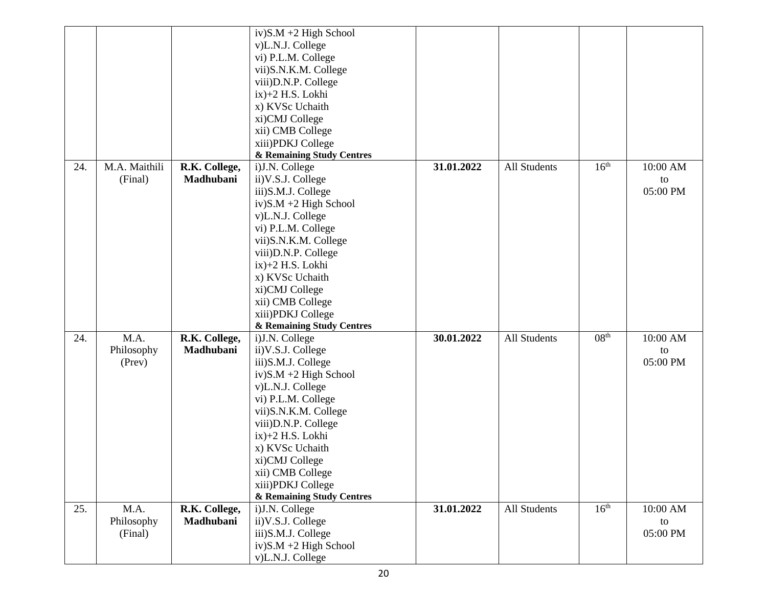|     |               |               | $iv)$ S.M +2 High School  |            |              |                  |          |
|-----|---------------|---------------|---------------------------|------------|--------------|------------------|----------|
|     |               |               | v)L.N.J. College          |            |              |                  |          |
|     |               |               | vi) P.L.M. College        |            |              |                  |          |
|     |               |               | vii)S.N.K.M. College      |            |              |                  |          |
|     |               |               | viii)D.N.P. College       |            |              |                  |          |
|     |               |               | $ix$ $+2$ H.S. Lokhi      |            |              |                  |          |
|     |               |               | x) KVSc Uchaith           |            |              |                  |          |
|     |               |               | xi)CMJ College            |            |              |                  |          |
|     |               |               | xii) CMB College          |            |              |                  |          |
|     |               |               | xiii)PDKJ College         |            |              |                  |          |
|     |               |               | & Remaining Study Centres |            |              |                  |          |
| 24. | M.A. Maithili | R.K. College, | i)J.N. College            | 31.01.2022 | All Students | 16 <sup>th</sup> | 10:00 AM |
|     | (Final)       | Madhubani     | ii) V.S.J. College        |            |              |                  | to       |
|     |               |               | iii)S.M.J. College        |            |              |                  | 05:00 PM |
|     |               |               | $iv)$ S.M +2 High School  |            |              |                  |          |
|     |               |               | v)L.N.J. College          |            |              |                  |          |
|     |               |               | vi) P.L.M. College        |            |              |                  |          |
|     |               |               | vii)S.N.K.M. College      |            |              |                  |          |
|     |               |               | viii) D.N.P. College      |            |              |                  |          |
|     |               |               | $ix)+2$ H.S. Lokhi        |            |              |                  |          |
|     |               |               | x) KVSc Uchaith           |            |              |                  |          |
|     |               |               | xi)CMJ College            |            |              |                  |          |
|     |               |               | xii) CMB College          |            |              |                  |          |
|     |               |               | xiii)PDKJ College         |            |              |                  |          |
|     |               |               | & Remaining Study Centres |            |              |                  |          |
| 24. | M.A.          | R.K. College, | i)J.N. College            | 30.01.2022 | All Students | 08 <sup>th</sup> | 10:00 AM |
|     | Philosophy    | Madhubani     | ii) V.S.J. College        |            |              |                  | to       |
|     | (Prev)        |               | iii)S.M.J. College        |            |              |                  | 05:00 PM |
|     |               |               | $iv)$ S.M +2 High School  |            |              |                  |          |
|     |               |               | v)L.N.J. College          |            |              |                  |          |
|     |               |               | vi) P.L.M. College        |            |              |                  |          |
|     |               |               | vii)S.N.K.M. College      |            |              |                  |          |
|     |               |               | viii)D.N.P. College       |            |              |                  |          |
|     |               |               | ix)+2 H.S. Lokhi          |            |              |                  |          |
|     |               |               | x) KVSc Uchaith           |            |              |                  |          |
|     |               |               | xi)CMJ College            |            |              |                  |          |
|     |               |               | xii) CMB College          |            |              |                  |          |
|     |               |               | xiii)PDKJ College         |            |              |                  |          |
|     |               |               | & Remaining Study Centres |            |              |                  |          |
| 25. | M.A.          | R.K. College, | i)J.N. College            | 31.01.2022 | All Students | 16 <sup>th</sup> | 10:00 AM |
|     | Philosophy    | Madhubani     | ii) V.S.J. College        |            |              |                  | to       |
|     | (Final)       |               | iii)S.M.J. College        |            |              |                  | 05:00 PM |
|     |               |               | $iv)$ S.M +2 High School  |            |              |                  |          |
|     |               |               | v)L.N.J. College          |            |              |                  |          |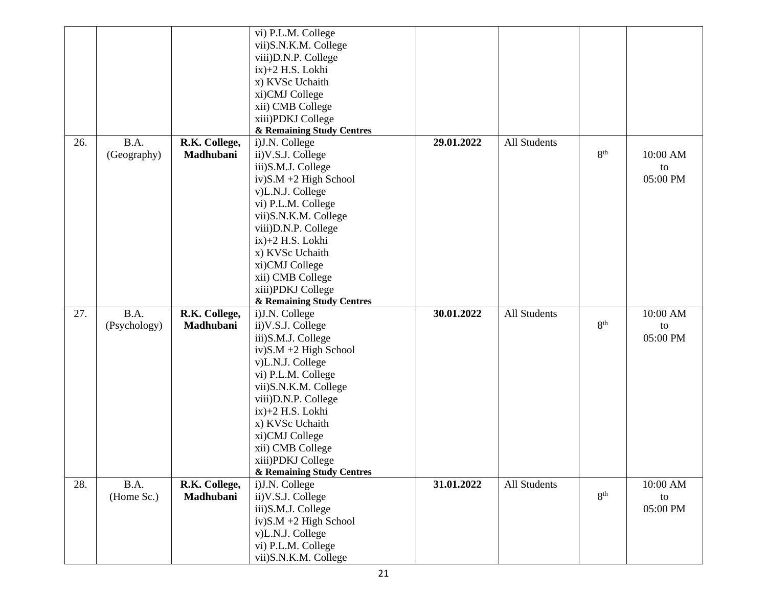|     |              |               | vi) P.L.M. College        |            |              |                 |          |
|-----|--------------|---------------|---------------------------|------------|--------------|-----------------|----------|
|     |              |               | vii)S.N.K.M. College      |            |              |                 |          |
|     |              |               | viii)D.N.P. College       |            |              |                 |          |
|     |              |               | $ix$ $+2$ H.S. Lokhi      |            |              |                 |          |
|     |              |               | x) KVSc Uchaith           |            |              |                 |          |
|     |              |               | xi)CMJ College            |            |              |                 |          |
|     |              |               | xii) CMB College          |            |              |                 |          |
|     |              |               | xiii)PDKJ College         |            |              |                 |          |
|     |              |               | & Remaining Study Centres |            |              |                 |          |
| 26. | B.A.         | R.K. College, | i)J.N. College            | 29.01.2022 | All Students |                 |          |
|     | (Geography)  | Madhubani     | ii) V.S.J. College        |            |              | 8 <sup>th</sup> | 10:00 AM |
|     |              |               | iii)S.M.J. College        |            |              |                 | to       |
|     |              |               | $iv)$ S.M +2 High School  |            |              |                 | 05:00 PM |
|     |              |               | v)L.N.J. College          |            |              |                 |          |
|     |              |               | vi) P.L.M. College        |            |              |                 |          |
|     |              |               | vii)S.N.K.M. College      |            |              |                 |          |
|     |              |               |                           |            |              |                 |          |
|     |              |               | viii)D.N.P. College       |            |              |                 |          |
|     |              |               | $ix)+2$ H.S. Lokhi        |            |              |                 |          |
|     |              |               | x) KVSc Uchaith           |            |              |                 |          |
|     |              |               | xi)CMJ College            |            |              |                 |          |
|     |              |               | xii) CMB College          |            |              |                 |          |
|     |              |               | xiii)PDKJ College         |            |              |                 |          |
|     |              |               | & Remaining Study Centres |            |              |                 |          |
| 27. | B.A.         | R.K. College, | i)J.N. College            | 30.01.2022 | All Students |                 | 10:00 AM |
|     | (Psychology) | Madhubani     | ii) V.S.J. College        |            |              | 8 <sup>th</sup> | to       |
|     |              |               | iii)S.M.J. College        |            |              |                 | 05:00 PM |
|     |              |               | $iv)$ S.M +2 High School  |            |              |                 |          |
|     |              |               | v)L.N.J. College          |            |              |                 |          |
|     |              |               | vi) P.L.M. College        |            |              |                 |          |
|     |              |               | vii)S.N.K.M. College      |            |              |                 |          |
|     |              |               | viii)D.N.P. College       |            |              |                 |          |
|     |              |               | $ix$ $+2$ H.S. Lokhi      |            |              |                 |          |
|     |              |               | x) KVSc Uchaith           |            |              |                 |          |
|     |              |               | xi)CMJ College            |            |              |                 |          |
|     |              |               | xii) CMB College          |            |              |                 |          |
|     |              |               | xiii)PDKJ College         |            |              |                 |          |
|     |              |               | & Remaining Study Centres |            |              |                 |          |
| 28. | B.A.         | R.K. College, | i)J.N. College            | 31.01.2022 | All Students |                 | 10:00 AM |
|     | (Home Sc.)   | Madhubani     | ii) V.S.J. College        |            |              | 8 <sup>th</sup> | to       |
|     |              |               | iii)S.M.J. College        |            |              |                 | 05:00 PM |
|     |              |               | $iv)$ S.M +2 High School  |            |              |                 |          |
|     |              |               | v)L.N.J. College          |            |              |                 |          |
|     |              |               | vi) P.L.M. College        |            |              |                 |          |
|     |              |               | vii)S.N.K.M. College      |            |              |                 |          |
|     |              |               |                           |            |              |                 |          |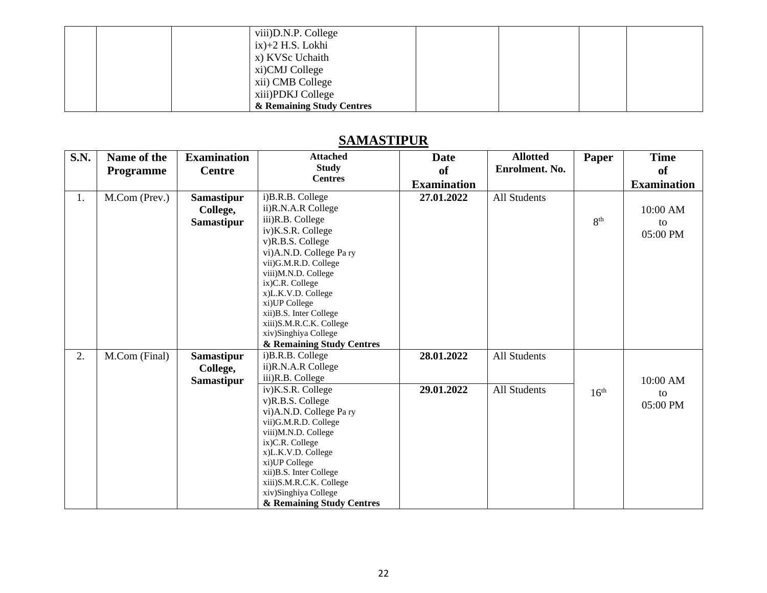|  | viii)D.N.P. College       |  |  |
|--|---------------------------|--|--|
|  | $ix)+2$ H.S. Lokhi        |  |  |
|  | x) KVSc Uchaith           |  |  |
|  | xi)CMJ College            |  |  |
|  | xii) CMB College          |  |  |
|  | xiii)PDKJ College         |  |  |
|  | & Remaining Study Centres |  |  |

## **SAMASTIPUR**

| <b>S.N.</b> | Name of the      | <b>Examination</b> | <b>Attached</b><br><b>Study</b>                 | <b>Date</b>        | <b>Allotted</b><br>Enrolment. No. | Paper            | <b>Time</b>        |
|-------------|------------------|--------------------|-------------------------------------------------|--------------------|-----------------------------------|------------------|--------------------|
|             | <b>Programme</b> | <b>Centre</b>      | <b>Centres</b>                                  | of                 |                                   |                  | <sub>of</sub>      |
|             |                  |                    |                                                 | <b>Examination</b> |                                   |                  | <b>Examination</b> |
| 1.          | M.Com (Prev.)    | <b>Samastipur</b>  | i)B.R.B. College                                | 27.01.2022         | <b>All Students</b>               |                  |                    |
|             |                  | College,           | ii)R.N.A.R College                              |                    |                                   |                  | 10:00 AM           |
|             |                  | <b>Samastipur</b>  | iii)R.B. College                                |                    |                                   | 8 <sup>th</sup>  | to                 |
|             |                  |                    | iv)K.S.R. College                               |                    |                                   |                  | 05:00 PM           |
|             |                  |                    | v)R.B.S. College                                |                    |                                   |                  |                    |
|             |                  |                    | vi)A.N.D. College Pary                          |                    |                                   |                  |                    |
|             |                  |                    | vii)G.M.R.D. College                            |                    |                                   |                  |                    |
|             |                  |                    | viii)M.N.D. College                             |                    |                                   |                  |                    |
|             |                  |                    | ix)C.R. College                                 |                    |                                   |                  |                    |
|             |                  |                    | x)L.K.V.D. College                              |                    |                                   |                  |                    |
|             |                  |                    | xi) UP College                                  |                    |                                   |                  |                    |
|             |                  |                    | xii) B.S. Inter College                         |                    |                                   |                  |                    |
|             |                  |                    | xiii)S.M.R.C.K. College<br>xiv)Singhiya College |                    |                                   |                  |                    |
|             |                  |                    | & Remaining Study Centres                       |                    |                                   |                  |                    |
| 2.          |                  |                    | i)B.R.B. College                                | 28.01.2022         | <b>All Students</b>               |                  |                    |
|             | M.Com (Final)    | <b>Samastipur</b>  | ii)R.N.A.R College                              |                    |                                   |                  |                    |
|             |                  | College,           |                                                 |                    |                                   |                  |                    |
|             |                  | <b>Samastipur</b>  | iii)R.B. College                                |                    |                                   |                  | 10:00 AM           |
|             |                  |                    | iv)K.S.R. College                               | 29.01.2022         | <b>All Students</b>               | 16 <sup>th</sup> | to                 |
|             |                  |                    | v)R.B.S. College                                |                    |                                   |                  | 05:00 PM           |
|             |                  |                    | vi)A.N.D. College Pary                          |                    |                                   |                  |                    |
|             |                  |                    | vii)G.M.R.D. College                            |                    |                                   |                  |                    |
|             |                  |                    | viii)M.N.D. College<br>ix)C.R. College          |                    |                                   |                  |                    |
|             |                  |                    | x)L.K.V.D. College                              |                    |                                   |                  |                    |
|             |                  |                    | xi)UP College                                   |                    |                                   |                  |                    |
|             |                  |                    | xii)B.S. Inter College                          |                    |                                   |                  |                    |
|             |                  |                    | xiii)S.M.R.C.K. College                         |                    |                                   |                  |                    |
|             |                  |                    | xiv)Singhiya College                            |                    |                                   |                  |                    |
|             |                  |                    | & Remaining Study Centres                       |                    |                                   |                  |                    |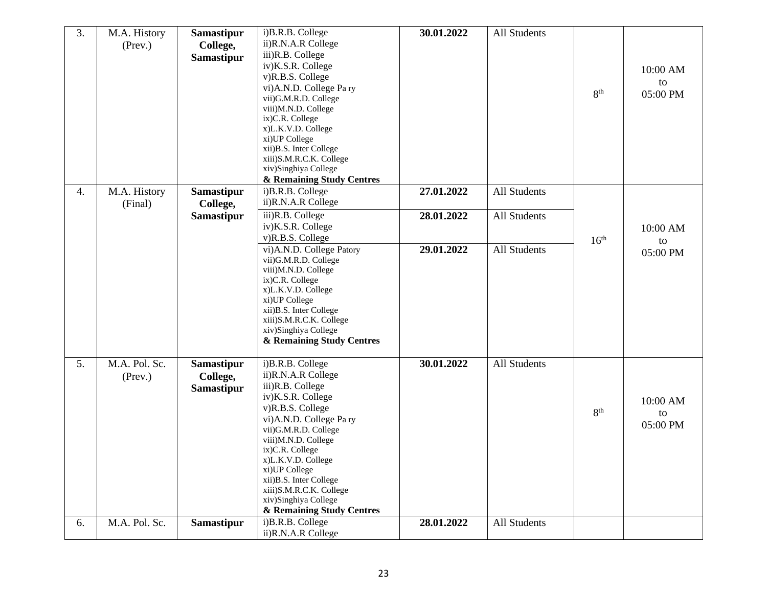| 3. | M.A. History<br>(Prev.)        | <b>Samastipur</b><br>College,<br><b>Samastipur</b> | i)B.R.B. College<br>ii)R.N.A.R College<br>iii)R.B. College<br>iv)K.S.R. College<br>v)R.B.S. College<br>vi)A.N.D. College Pary<br>vii)G.M.R.D. College<br>viii)M.N.D. College<br>ix)C.R. College<br>x)L.K.V.D. College<br>xi)UP College<br>xii)B.S. Inter College<br>xiii)S.M.R.C.K. College<br>xiv)Singhiya College<br>& Remaining Study Centres | 30.01.2022 | <b>All Students</b> | 8 <sup>th</sup>  | 10:00 AM<br>to<br>05:00 PM |
|----|--------------------------------|----------------------------------------------------|--------------------------------------------------------------------------------------------------------------------------------------------------------------------------------------------------------------------------------------------------------------------------------------------------------------------------------------------------|------------|---------------------|------------------|----------------------------|
| 4. | M.A. History<br>(Final)        | <b>Samastipur</b><br>College,                      | i)B.R.B. College<br>ii)R.N.A.R College                                                                                                                                                                                                                                                                                                           | 27.01.2022 | <b>All Students</b> |                  |                            |
|    |                                | <b>Samastipur</b>                                  | iii)R.B. College<br>iv)K.S.R. College<br>v)R.B.S. College                                                                                                                                                                                                                                                                                        | 28.01.2022 | <b>All Students</b> | 16 <sup>th</sup> | 10:00 AM<br>to             |
|    |                                |                                                    | vi)A.N.D. College Patory<br>vii)G.M.R.D. College<br>viii)M.N.D. College<br>ix)C.R. College<br>x)L.K.V.D. College<br>xi)UP College<br>xii)B.S. Inter College<br>xiii)S.M.R.C.K. College<br>xiv)Singhiya College<br>& Remaining Study Centres                                                                                                      | 29.01.2022 | <b>All Students</b> |                  | 05:00 PM                   |
| 5. | M.A. Pol. Sc.<br>$($ Prev. $)$ | <b>Samastipur</b><br>College,<br><b>Samastipur</b> | i)B.R.B. College<br>ii)R.N.A.R College<br>iii)R.B. College<br>iv)K.S.R. College<br>v)R.B.S. College<br>vi)A.N.D. College Pary<br>vii)G.M.R.D. College<br>viii)M.N.D. College<br>ix)C.R. College<br>x)L.K.V.D. College<br>xi)UP College<br>xii)B.S. Inter College<br>xiii)S.M.R.C.K. College<br>xiv)Singhiya College<br>& Remaining Study Centres | 30.01.2022 | <b>All Students</b> | 8 <sup>th</sup>  | 10:00 AM<br>to<br>05:00 PM |
| 6. | M.A. Pol. Sc.                  | <b>Samastipur</b>                                  | i)B.R.B. College<br>ii)R.N.A.R College                                                                                                                                                                                                                                                                                                           | 28.01.2022 | <b>All Students</b> |                  |                            |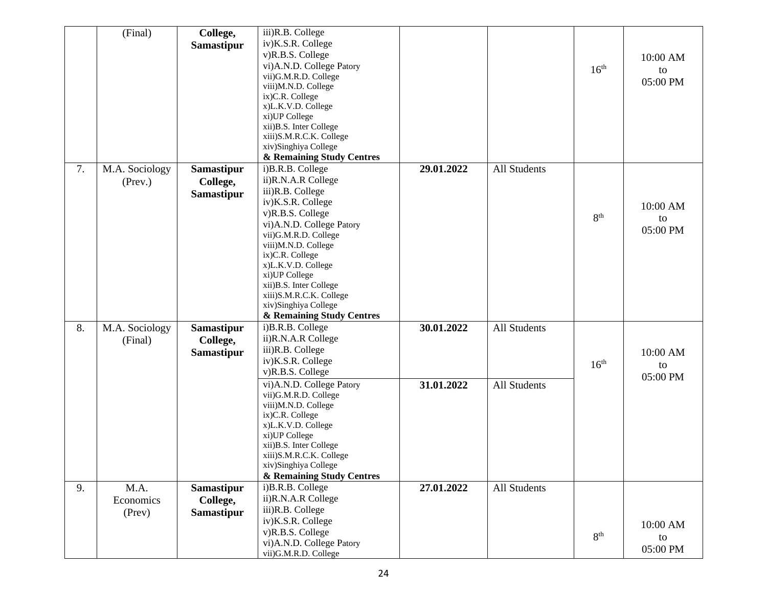|    | (Final)        | College,          | iii)R.B. College                                 |            |                     |                  |          |
|----|----------------|-------------------|--------------------------------------------------|------------|---------------------|------------------|----------|
|    |                | Samastipur        | iv)K.S.R. College                                |            |                     |                  |          |
|    |                |                   | v)R.B.S. College                                 |            |                     |                  | 10:00 AM |
|    |                |                   | vi)A.N.D. College Patory                         |            |                     | 16 <sup>th</sup> | to       |
|    |                |                   | vii)G.M.R.D. College                             |            |                     |                  | 05:00 PM |
|    |                |                   | viii)M.N.D. College<br>ix)C.R. College           |            |                     |                  |          |
|    |                |                   | x)L.K.V.D. College                               |            |                     |                  |          |
|    |                |                   | xi)UP College                                    |            |                     |                  |          |
|    |                |                   | xii)B.S. Inter College                           |            |                     |                  |          |
|    |                |                   | xiii)S.M.R.C.K. College                          |            |                     |                  |          |
|    |                |                   | xiv)Singhiya College                             |            |                     |                  |          |
|    |                |                   | & Remaining Study Centres                        |            |                     |                  |          |
| 7. | M.A. Sociology | Samastipur        | i)B.R.B. College                                 | 29.01.2022 | <b>All Students</b> |                  |          |
|    | $($ Prev. $)$  | College,          | ii)R.N.A.R College                               |            |                     |                  |          |
|    |                | <b>Samastipur</b> | iii)R.B. College                                 |            |                     |                  |          |
|    |                |                   | iv)K.S.R. College                                |            |                     |                  | 10:00 AM |
|    |                |                   | v)R.B.S. College                                 |            |                     | 8 <sup>th</sup>  | to       |
|    |                |                   | vi)A.N.D. College Patory<br>vii)G.M.R.D. College |            |                     |                  | 05:00 PM |
|    |                |                   | viii)M.N.D. College                              |            |                     |                  |          |
|    |                |                   | ix)C.R. College                                  |            |                     |                  |          |
|    |                |                   | x)L.K.V.D. College                               |            |                     |                  |          |
|    |                |                   | xi)UP College                                    |            |                     |                  |          |
|    |                |                   | xii)B.S. Inter College                           |            |                     |                  |          |
|    |                |                   | xiii)S.M.R.C.K. College                          |            |                     |                  |          |
|    |                |                   | xiv)Singhiya College                             |            |                     |                  |          |
|    |                |                   | & Remaining Study Centres                        | 30.01.2022 | <b>All Students</b> |                  |          |
| 8. | M.A. Sociology | <b>Samastipur</b> | i)B.R.B. College<br>ii)R.N.A.R College           |            |                     |                  |          |
|    | (Final)        | College,          | iii)R.B. College                                 |            |                     |                  |          |
|    |                | <b>Samastipur</b> | iv)K.S.R. College                                |            |                     |                  | 10:00 AM |
|    |                |                   | v)R.B.S. College                                 |            |                     | 16 <sup>th</sup> | to       |
|    |                |                   | vi)A.N.D. College Patory                         | 31.01.2022 | <b>All Students</b> |                  | 05:00 PM |
|    |                |                   | vii)G.M.R.D. College                             |            |                     |                  |          |
|    |                |                   | viii)M.N.D. College                              |            |                     |                  |          |
|    |                |                   | ix)C.R. College                                  |            |                     |                  |          |
|    |                |                   | x)L.K.V.D. College                               |            |                     |                  |          |
|    |                |                   | xi)UP College<br>xii)B.S. Inter College          |            |                     |                  |          |
|    |                |                   | xiii)S.M.R.C.K. College                          |            |                     |                  |          |
|    |                |                   | xiv)Singhiya College                             |            |                     |                  |          |
|    |                |                   | & Remaining Study Centres                        |            |                     |                  |          |
| 9. | M.A.           | Samastipur        | i)B.R.B. College                                 | 27.01.2022 | All Students        |                  |          |
|    | Economics      | College,          | ii)R.N.A.R College                               |            |                     |                  |          |
|    | (Prev)         | <b>Samastipur</b> | iii)R.B. College                                 |            |                     |                  |          |
|    |                |                   | iv)K.S.R. College                                |            |                     |                  | 10:00 AM |
|    |                |                   | v)R.B.S. College                                 |            |                     | 8 <sup>th</sup>  | to       |
|    |                |                   | vi)A.N.D. College Patory                         |            |                     |                  | 05:00 PM |
|    |                |                   | vii)G.M.R.D. College                             |            |                     |                  |          |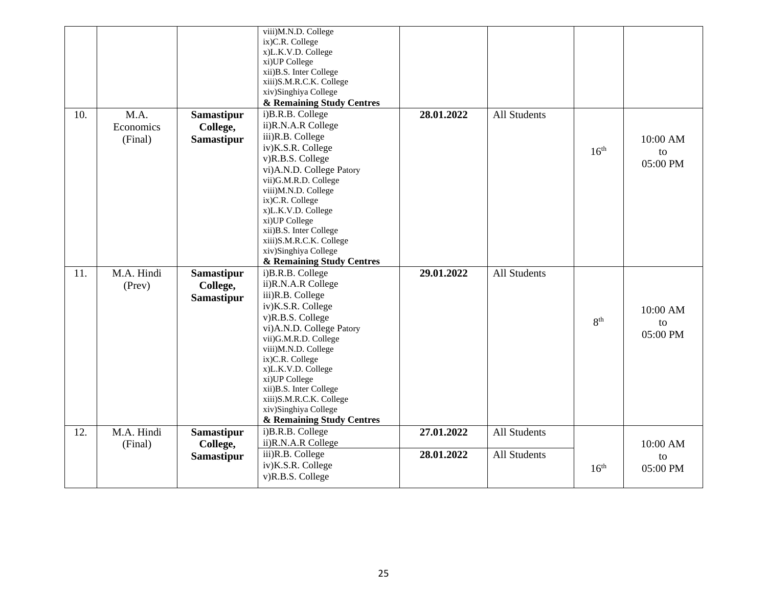|     |                              |                                                    | viii)M.N.D. College<br>ix)C.R. College<br>x)L.K.V.D. College<br>xi)UP College<br>xii)B.S. Inter College<br>xiii)S.M.R.C.K. College<br>xiv)Singhiya College<br>& Remaining Study Centres                                                                                                                                                            |                          |                                     |                  |                            |
|-----|------------------------------|----------------------------------------------------|----------------------------------------------------------------------------------------------------------------------------------------------------------------------------------------------------------------------------------------------------------------------------------------------------------------------------------------------------|--------------------------|-------------------------------------|------------------|----------------------------|
| 10. | M.A.<br>Economics<br>(Final) | <b>Samastipur</b><br>College,<br><b>Samastipur</b> | i)B.R.B. College<br>ii)R.N.A.R College<br>iii)R.B. College<br>iv)K.S.R. College<br>v)R.B.S. College<br>vi)A.N.D. College Patory<br>vii)G.M.R.D. College<br>viii)M.N.D. College<br>ix)C.R. College<br>x)L.K.V.D. College<br>xi)UP College<br>xii)B.S. Inter College<br>xiii)S.M.R.C.K. College<br>xiv)Singhiya College<br>& Remaining Study Centres | 28.01.2022               | <b>All Students</b>                 | 16 <sup>th</sup> | 10:00 AM<br>to<br>05:00 PM |
| 11. | M.A. Hindi<br>(Prev)         | <b>Samastipur</b><br>College,<br><b>Samastipur</b> | i)B.R.B. College<br>ii)R.N.A.R College<br>iii)R.B. College<br>iv)K.S.R. College<br>v)R.B.S. College<br>vi)A.N.D. College Patory<br>vii)G.M.R.D. College<br>viii)M.N.D. College<br>ix)C.R. College<br>x)L.K.V.D. College<br>xi)UP College<br>xii)B.S. Inter College<br>xiii)S.M.R.C.K. College<br>xiv)Singhiya College<br>& Remaining Study Centres | 29.01.2022               | <b>All Students</b>                 | 8 <sup>th</sup>  | 10:00 AM<br>to<br>05:00 PM |
| 12. | M.A. Hindi<br>(Final)        | <b>Samastipur</b><br>College,<br><b>Samastipur</b> | i)B.R.B. College<br>ii)R.N.A.R College<br>iii)R.B. College<br>iv)K.S.R. College<br>v)R.B.S. College                                                                                                                                                                                                                                                | 27.01.2022<br>28.01.2022 | All Students<br><b>All Students</b> | 16 <sup>th</sup> | 10:00 AM<br>to<br>05:00 PM |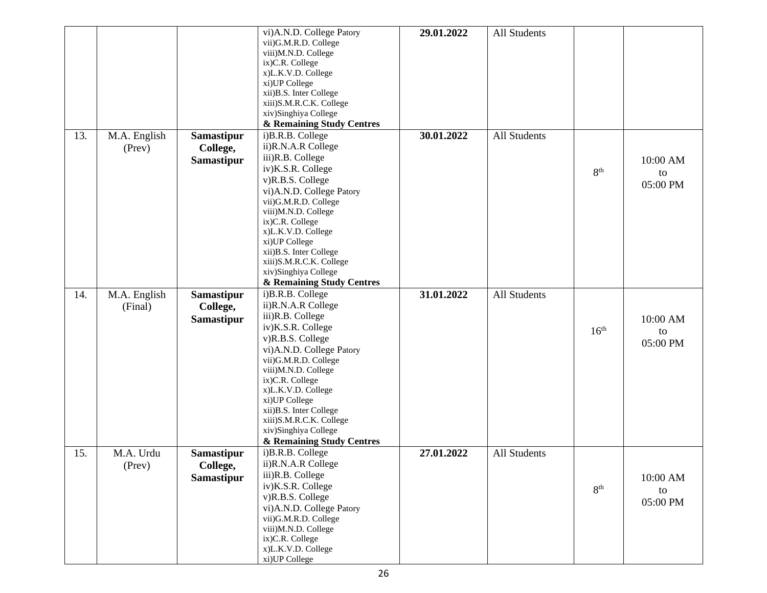|     |              |                   | vi)A.N.D. College Patory<br>vii)G.M.R.D. College<br>viii)M.N.D. College<br>ix)C.R. College<br>x)L.K.V.D. College<br>xi)UP College<br>xii)B.S. Inter College<br>xiii)S.M.R.C.K. College<br>xiv)Singhiya College<br>& Remaining Study Centres | 29.01.2022 | All Students |                  |          |
|-----|--------------|-------------------|---------------------------------------------------------------------------------------------------------------------------------------------------------------------------------------------------------------------------------------------|------------|--------------|------------------|----------|
| 13. | M.A. English | Samastipur        | i)B.R.B. College                                                                                                                                                                                                                            | 30.01.2022 | All Students |                  |          |
|     | (Prev)       | College,          | ii)R.N.A.R College                                                                                                                                                                                                                          |            |              |                  |          |
|     |              | Samastipur        | iii)R.B. College                                                                                                                                                                                                                            |            |              |                  | 10:00 AM |
|     |              |                   | iv)K.S.R. College                                                                                                                                                                                                                           |            |              | 8 <sup>th</sup>  |          |
|     |              |                   | v)R.B.S. College                                                                                                                                                                                                                            |            |              |                  | to       |
|     |              |                   | vi)A.N.D. College Patory                                                                                                                                                                                                                    |            |              |                  | 05:00 PM |
|     |              |                   | vii)G.M.R.D. College                                                                                                                                                                                                                        |            |              |                  |          |
|     |              |                   | viii)M.N.D. College                                                                                                                                                                                                                         |            |              |                  |          |
|     |              |                   | ix)C.R. College                                                                                                                                                                                                                             |            |              |                  |          |
|     |              |                   | x)L.K.V.D. College                                                                                                                                                                                                                          |            |              |                  |          |
|     |              |                   | xi)UP College                                                                                                                                                                                                                               |            |              |                  |          |
|     |              |                   | xii)B.S. Inter College                                                                                                                                                                                                                      |            |              |                  |          |
|     |              |                   | xiii)S.M.R.C.K. College                                                                                                                                                                                                                     |            |              |                  |          |
|     |              |                   | xiv)Singhiya College                                                                                                                                                                                                                        |            |              |                  |          |
|     |              |                   | & Remaining Study Centres                                                                                                                                                                                                                   |            |              |                  |          |
| 14. | M.A. English | <b>Samastipur</b> | i)B.R.B. College                                                                                                                                                                                                                            | 31.01.2022 | All Students |                  |          |
|     | (Final)      | College,          | ii)R.N.A.R College                                                                                                                                                                                                                          |            |              |                  |          |
|     |              | <b>Samastipur</b> | iii)R.B. College                                                                                                                                                                                                                            |            |              |                  | 10:00 AM |
|     |              |                   | iv)K.S.R. College                                                                                                                                                                                                                           |            |              | 16 <sup>th</sup> | to       |
|     |              |                   | v)R.B.S. College                                                                                                                                                                                                                            |            |              |                  | 05:00 PM |
|     |              |                   | vi)A.N.D. College Patory                                                                                                                                                                                                                    |            |              |                  |          |
|     |              |                   | vii)G.M.R.D. College                                                                                                                                                                                                                        |            |              |                  |          |
|     |              |                   | viii)M.N.D. College                                                                                                                                                                                                                         |            |              |                  |          |
|     |              |                   | ix)C.R. College                                                                                                                                                                                                                             |            |              |                  |          |
|     |              |                   | x)L.K.V.D. College                                                                                                                                                                                                                          |            |              |                  |          |
|     |              |                   | xi)UP College                                                                                                                                                                                                                               |            |              |                  |          |
|     |              |                   | xii)B.S. Inter College                                                                                                                                                                                                                      |            |              |                  |          |
|     |              |                   | xiii)S.M.R.C.K. College<br>xiv)Singhiya College                                                                                                                                                                                             |            |              |                  |          |
|     |              |                   | & Remaining Study Centres                                                                                                                                                                                                                   |            |              |                  |          |
| 15. | M.A. Urdu    | <b>Samastipur</b> | i)B.R.B. College                                                                                                                                                                                                                            | 27.01.2022 | All Students |                  |          |
|     |              |                   | ii)R.N.A.R College                                                                                                                                                                                                                          |            |              |                  |          |
|     | (Prev)       | College,          | iii)R.B. College                                                                                                                                                                                                                            |            |              |                  |          |
|     |              | Samastipur        | iv)K.S.R. College                                                                                                                                                                                                                           |            |              |                  | 10:00 AM |
|     |              |                   |                                                                                                                                                                                                                                             |            |              | 8 <sup>th</sup>  | to       |
|     |              |                   | v)R.B.S. College                                                                                                                                                                                                                            |            |              |                  | 05:00 PM |
|     |              |                   | vi)A.N.D. College Patory                                                                                                                                                                                                                    |            |              |                  |          |
|     |              |                   | vii)G.M.R.D. College<br>viii)M.N.D. College                                                                                                                                                                                                 |            |              |                  |          |
|     |              |                   | ix)C.R. College                                                                                                                                                                                                                             |            |              |                  |          |
|     |              |                   | x)L.K.V.D. College                                                                                                                                                                                                                          |            |              |                  |          |
|     |              |                   | xi)UP College                                                                                                                                                                                                                               |            |              |                  |          |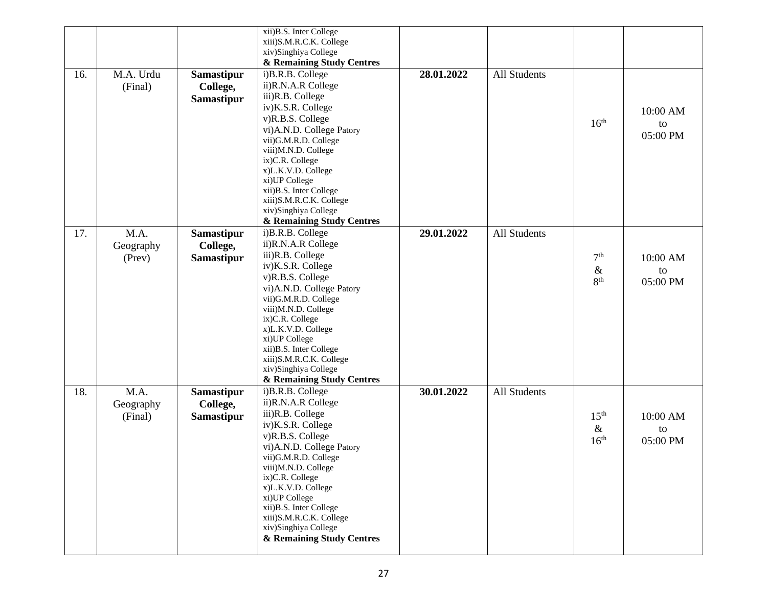|     |           |                   | xii)B.S. Inter College<br>xiii)S.M.R.C.K. College |            |                     |                  |          |
|-----|-----------|-------------------|---------------------------------------------------|------------|---------------------|------------------|----------|
|     |           |                   | xiv)Singhiya College                              |            |                     |                  |          |
|     |           |                   | & Remaining Study Centres                         |            |                     |                  |          |
| 16. | M.A. Urdu | <b>Samastipur</b> | i)B.R.B. College                                  | 28.01.2022 | <b>All Students</b> |                  |          |
|     | (Final)   | College,          | ii)R.N.A.R College                                |            |                     |                  |          |
|     |           | Samastipur        | iii)R.B. College                                  |            |                     |                  |          |
|     |           |                   | iv)K.S.R. College                                 |            |                     |                  | 10:00 AM |
|     |           |                   | v)R.B.S. College                                  |            |                     | 16 <sup>th</sup> | to       |
|     |           |                   | vi)A.N.D. College Patory                          |            |                     |                  | 05:00 PM |
|     |           |                   | vii)G.M.R.D. College                              |            |                     |                  |          |
|     |           |                   | viii)M.N.D. College                               |            |                     |                  |          |
|     |           |                   | ix)C.R. College                                   |            |                     |                  |          |
|     |           |                   | x)L.K.V.D. College<br>xi)UP College               |            |                     |                  |          |
|     |           |                   | xii)B.S. Inter College                            |            |                     |                  |          |
|     |           |                   | xiii)S.M.R.C.K. College                           |            |                     |                  |          |
|     |           |                   | xiv)Singhiya College                              |            |                     |                  |          |
|     |           |                   | & Remaining Study Centres                         |            |                     |                  |          |
| 17. | M.A.      | Samastipur        | i)B.R.B. College                                  | 29.01.2022 | All Students        |                  |          |
|     | Geography | College,          | ii)R.N.A.R College                                |            |                     |                  |          |
|     | (Prev)    | <b>Samastipur</b> | iii)R.B. College                                  |            |                     | 7 <sup>th</sup>  | 10:00 AM |
|     |           |                   | iv)K.S.R. College                                 |            |                     | $\&$             | to       |
|     |           |                   | v)R.B.S. College                                  |            |                     | 8 <sup>th</sup>  | 05:00 PM |
|     |           |                   | vi)A.N.D. College Patory                          |            |                     |                  |          |
|     |           |                   | vii)G.M.R.D. College<br>viii)M.N.D. College       |            |                     |                  |          |
|     |           |                   | ix)C.R. College                                   |            |                     |                  |          |
|     |           |                   | x)L.K.V.D. College                                |            |                     |                  |          |
|     |           |                   | xi)UP College                                     |            |                     |                  |          |
|     |           |                   | xii)B.S. Inter College                            |            |                     |                  |          |
|     |           |                   | xiii)S.M.R.C.K. College                           |            |                     |                  |          |
|     |           |                   | xiv)Singhiya College                              |            |                     |                  |          |
|     |           |                   | & Remaining Study Centres                         | 30.01.2022 |                     |                  |          |
| 18. | M.A.      | <b>Samastipur</b> | i)B.R.B. College<br>ii)R.N.A.R College            |            | All Students        |                  |          |
|     | Geography | College,          | iii)R.B. College                                  |            |                     |                  |          |
|     | (Final)   | <b>Samastipur</b> | iv)K.S.R. College                                 |            |                     | 15 <sup>th</sup> | 10:00 AM |
|     |           |                   | v)R.B.S. College                                  |            |                     | $\&$             | to       |
|     |           |                   | vi)A.N.D. College Patory                          |            |                     | 16 <sup>th</sup> | 05:00 PM |
|     |           |                   | vii)G.M.R.D. College                              |            |                     |                  |          |
|     |           |                   | viii)M.N.D. College                               |            |                     |                  |          |
|     |           |                   | ix)C.R. College                                   |            |                     |                  |          |
|     |           |                   | x)L.K.V.D. College                                |            |                     |                  |          |
|     |           |                   | xi)UP College<br>xii)B.S. Inter College           |            |                     |                  |          |
|     |           |                   | xiii)S.M.R.C.K. College                           |            |                     |                  |          |
|     |           |                   | xiv)Singhiya College                              |            |                     |                  |          |
|     |           |                   | & Remaining Study Centres                         |            |                     |                  |          |
|     |           |                   |                                                   |            |                     |                  |          |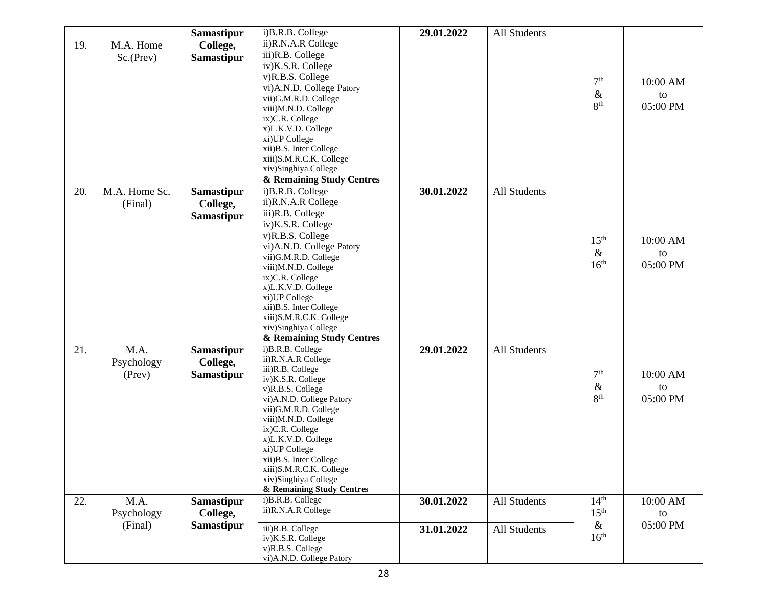|     |               | <b>Samastipur</b> | i)B.R.B. College                                | 29.01.2022 | <b>All Students</b> |                  |          |
|-----|---------------|-------------------|-------------------------------------------------|------------|---------------------|------------------|----------|
| 19. | M.A. Home     | College,          | ii)R.N.A.R College                              |            |                     |                  |          |
|     | Sc.(Prev)     | <b>Samastipur</b> | iii)R.B. College                                |            |                     |                  |          |
|     |               |                   | iv)K.S.R. College                               |            |                     |                  |          |
|     |               |                   | v)R.B.S. College                                |            |                     | 7 <sup>th</sup>  | 10:00 AM |
|     |               |                   | vi)A.N.D. College Patory                        |            |                     | $\&$             |          |
|     |               |                   | vii)G.M.R.D. College                            |            |                     |                  | to       |
|     |               |                   | viii)M.N.D. College                             |            |                     | 8 <sup>th</sup>  | 05:00 PM |
|     |               |                   | ix)C.R. College                                 |            |                     |                  |          |
|     |               |                   | x)L.K.V.D. College                              |            |                     |                  |          |
|     |               |                   | xi)UP College<br>xii)B.S. Inter College         |            |                     |                  |          |
|     |               |                   | xiii)S.M.R.C.K. College                         |            |                     |                  |          |
|     |               |                   | xiv)Singhiya College                            |            |                     |                  |          |
|     |               |                   | & Remaining Study Centres                       |            |                     |                  |          |
| 20. | M.A. Home Sc. | <b>Samastipur</b> | i)B.R.B. College                                | 30.01.2022 | <b>All Students</b> |                  |          |
|     | (Final)       | College,          | ii)R.N.A.R College                              |            |                     |                  |          |
|     |               | <b>Samastipur</b> | iii)R.B. College                                |            |                     |                  |          |
|     |               |                   | iv)K.S.R. College                               |            |                     |                  |          |
|     |               |                   | v)R.B.S. College                                |            |                     |                  |          |
|     |               |                   | vi)A.N.D. College Patory                        |            |                     | 15 <sup>th</sup> | 10:00 AM |
|     |               |                   | vii)G.M.R.D. College                            |            |                     | $\&$             | to       |
|     |               |                   | viii)M.N.D. College                             |            |                     | 16 <sup>th</sup> | 05:00 PM |
|     |               |                   | ix)C.R. College                                 |            |                     |                  |          |
|     |               |                   | x)L.K.V.D. College                              |            |                     |                  |          |
|     |               |                   | xi)UP College                                   |            |                     |                  |          |
|     |               |                   | xii)B.S. Inter College                          |            |                     |                  |          |
|     |               |                   | xiii)S.M.R.C.K. College<br>xiv)Singhiya College |            |                     |                  |          |
|     |               |                   | & Remaining Study Centres                       |            |                     |                  |          |
| 21. | M.A.          | <b>Samastipur</b> | i)B.R.B. College                                | 29.01.2022 | <b>All Students</b> |                  |          |
|     |               | College,          | ii)R.N.A.R College                              |            |                     |                  |          |
|     | Psychology    |                   | iii)R.B. College                                |            |                     |                  |          |
|     | (Prev)        | <b>Samastipur</b> | iv)K.S.R. College                               |            |                     | 7 <sup>th</sup>  | 10:00 AM |
|     |               |                   | v)R.B.S. College                                |            |                     | $\&$             | to       |
|     |               |                   | vi)A.N.D. College Patory                        |            |                     | 8 <sup>th</sup>  | 05:00 PM |
|     |               |                   | vii)G.M.R.D. College                            |            |                     |                  |          |
|     |               |                   | viii)M.N.D. College                             |            |                     |                  |          |
|     |               |                   | ix)C.R. College<br>x)L.K.V.D. College           |            |                     |                  |          |
|     |               |                   | xi)UP College                                   |            |                     |                  |          |
|     |               |                   | xii)B.S. Inter College                          |            |                     |                  |          |
|     |               |                   | xiii)S.M.R.C.K. College                         |            |                     |                  |          |
|     |               |                   | xiv)Singhiya College                            |            |                     |                  |          |
|     |               |                   | & Remaining Study Centres                       |            |                     |                  |          |
| 22. | M.A.          | <b>Samastipur</b> | i)B.R.B. College                                | 30.01.2022 | <b>All Students</b> | 14 <sup>th</sup> | 10:00 AM |
|     | Psychology    | College,          | ii)R.N.A.R College                              |            |                     | 15 <sup>th</sup> | to       |
|     | (Final)       | <b>Samastipur</b> | iii)R.B. College                                | 31.01.2022 | All Students        | $\&$             | 05:00 PM |
|     |               |                   | iv)K.S.R. College                               |            |                     | 16 <sup>th</sup> |          |
|     |               |                   | v)R.B.S. College                                |            |                     |                  |          |
|     |               |                   | vi)A.N.D. College Patory                        |            |                     |                  |          |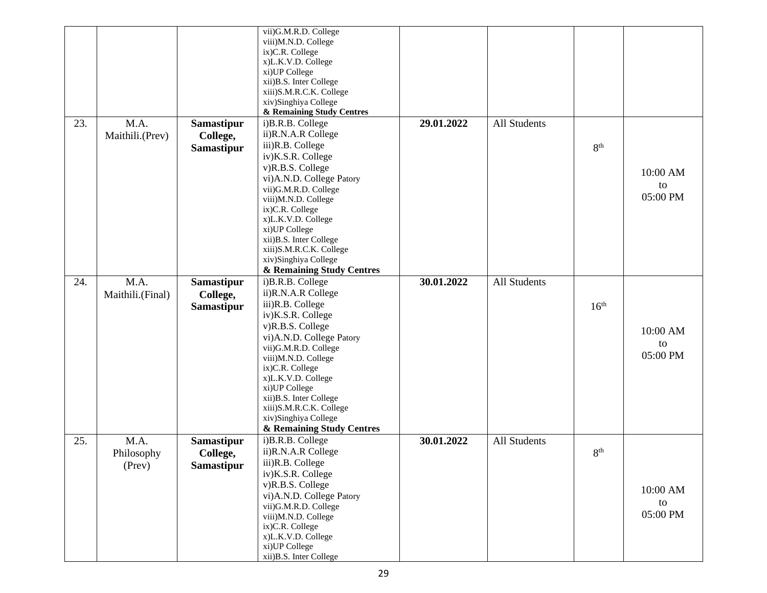|     |                  |                   | vii)G.M.R.D. College<br>viii)M.N.D. College<br>ix)C.R. College<br>x)L.K.V.D. College<br>xi)UP College |            |                     |                  |          |
|-----|------------------|-------------------|-------------------------------------------------------------------------------------------------------|------------|---------------------|------------------|----------|
|     |                  |                   | xii)B.S. Inter College<br>xiii)S.M.R.C.K. College                                                     |            |                     |                  |          |
|     |                  |                   | xiv)Singhiya College                                                                                  |            |                     |                  |          |
|     |                  |                   | & Remaining Study Centres                                                                             |            |                     |                  |          |
| 23. | M.A.             | Samastipur        | i)B.R.B. College                                                                                      | 29.01.2022 | All Students        |                  |          |
|     | Maithili.(Prev)  | College,          | ii)R.N.A.R College                                                                                    |            |                     |                  |          |
|     |                  | Samastipur        | iii)R.B. College                                                                                      |            |                     | 8 <sup>th</sup>  |          |
|     |                  |                   | iv)K.S.R. College<br>v)R.B.S. College                                                                 |            |                     |                  |          |
|     |                  |                   | vi)A.N.D. College Patory                                                                              |            |                     |                  | 10:00 AM |
|     |                  |                   | vii)G.M.R.D. College                                                                                  |            |                     |                  | to       |
|     |                  |                   | viii)M.N.D. College                                                                                   |            |                     |                  | 05:00 PM |
|     |                  |                   | ix)C.R. College                                                                                       |            |                     |                  |          |
|     |                  |                   | x)L.K.V.D. College                                                                                    |            |                     |                  |          |
|     |                  |                   | xi)UP College<br>xii)B.S. Inter College                                                               |            |                     |                  |          |
|     |                  |                   | xiii)S.M.R.C.K. College                                                                               |            |                     |                  |          |
|     |                  |                   | xiv)Singhiya College                                                                                  |            |                     |                  |          |
|     |                  |                   | & Remaining Study Centres                                                                             |            |                     |                  |          |
| 24. | M.A.             | <b>Samastipur</b> | i)B.R.B. College                                                                                      | 30.01.2022 | <b>All Students</b> |                  |          |
|     | Maithili.(Final) | College,          | ii)R.N.A.R College                                                                                    |            |                     |                  |          |
|     |                  | Samastipur        | iii)R.B. College                                                                                      |            |                     | 16 <sup>th</sup> |          |
|     |                  |                   | iv)K.S.R. College                                                                                     |            |                     |                  |          |
|     |                  |                   | v)R.B.S. College<br>vi)A.N.D. College Patory                                                          |            |                     |                  | 10:00 AM |
|     |                  |                   | vii)G.M.R.D. College                                                                                  |            |                     |                  | to       |
|     |                  |                   | viii)M.N.D. College                                                                                   |            |                     |                  | 05:00 PM |
|     |                  |                   | ix)C.R. College                                                                                       |            |                     |                  |          |
|     |                  |                   | x)L.K.V.D. College                                                                                    |            |                     |                  |          |
|     |                  |                   | xi)UP College<br>xii)B.S. Inter College                                                               |            |                     |                  |          |
|     |                  |                   | xiii)S.M.R.C.K. College                                                                               |            |                     |                  |          |
|     |                  |                   | xiv)Singhiya College                                                                                  |            |                     |                  |          |
|     |                  |                   | & Remaining Study Centres                                                                             |            |                     |                  |          |
| 25. | M.A.             | <b>Samastipur</b> | i)B.R.B. College                                                                                      | 30.01.2022 | All Students        |                  |          |
|     | Philosophy       | College,          | ii)R.N.A.R College                                                                                    |            |                     | 8 <sup>th</sup>  |          |
|     | (Prev)           | <b>Samastipur</b> | iii)R.B. College                                                                                      |            |                     |                  |          |
|     |                  |                   | iv)K.S.R. College<br>v)R.B.S. College                                                                 |            |                     |                  |          |
|     |                  |                   | vi)A.N.D. College Patory                                                                              |            |                     |                  | 10:00 AM |
|     |                  |                   | vii)G.M.R.D. College                                                                                  |            |                     |                  | to       |
|     |                  |                   | viii)M.N.D. College                                                                                   |            |                     |                  | 05:00 PM |
|     |                  |                   | ix)C.R. College                                                                                       |            |                     |                  |          |
|     |                  |                   | x)L.K.V.D. College                                                                                    |            |                     |                  |          |
|     |                  |                   | xi)UP College<br>xii) B.S. Inter College                                                              |            |                     |                  |          |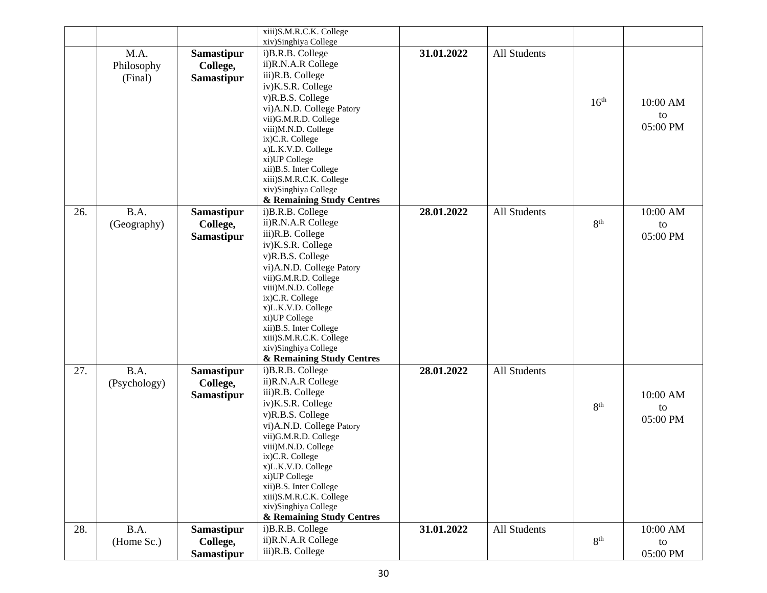|     |              |                   | xiii)S.M.R.C.K. College                           |            |              |                  |          |
|-----|--------------|-------------------|---------------------------------------------------|------------|--------------|------------------|----------|
|     |              |                   | xiv)Singhiya College                              |            |              |                  |          |
|     | M.A.         | <b>Samastipur</b> | i)B.R.B. College                                  | 31.01.2022 | All Students |                  |          |
|     | Philosophy   | College,          | ii)R.N.A.R College                                |            |              |                  |          |
|     | (Final)      | <b>Samastipur</b> | iii)R.B. College                                  |            |              |                  |          |
|     |              |                   | iv)K.S.R. College                                 |            |              |                  |          |
|     |              |                   | v)R.B.S. College                                  |            |              | 16 <sup>th</sup> | 10:00 AM |
|     |              |                   | vi)A.N.D. College Patory                          |            |              |                  | to       |
|     |              |                   | vii)G.M.R.D. College                              |            |              |                  | 05:00 PM |
|     |              |                   | viii)M.N.D. College<br>ix)C.R. College            |            |              |                  |          |
|     |              |                   | x)L.K.V.D. College                                |            |              |                  |          |
|     |              |                   | xi)UP College                                     |            |              |                  |          |
|     |              |                   | xii)B.S. Inter College                            |            |              |                  |          |
|     |              |                   | xiii)S.M.R.C.K. College                           |            |              |                  |          |
|     |              |                   | xiv)Singhiya College                              |            |              |                  |          |
|     |              |                   | & Remaining Study Centres                         |            |              |                  |          |
| 26. | B.A.         | <b>Samastipur</b> | i)B.R.B. College                                  | 28.01.2022 | All Students |                  | 10:00 AM |
|     | (Geography)  | College,          | ii)R.N.A.R College                                |            |              | 8 <sup>th</sup>  | to       |
|     |              | <b>Samastipur</b> | iii)R.B. College                                  |            |              |                  | 05:00 PM |
|     |              |                   | iv)K.S.R. College                                 |            |              |                  |          |
|     |              |                   | v)R.B.S. College                                  |            |              |                  |          |
|     |              |                   | vi)A.N.D. College Patory                          |            |              |                  |          |
|     |              |                   | vii)G.M.R.D. College<br>viii)M.N.D. College       |            |              |                  |          |
|     |              |                   | ix)C.R. College                                   |            |              |                  |          |
|     |              |                   | x)L.K.V.D. College                                |            |              |                  |          |
|     |              |                   | xi)UP College                                     |            |              |                  |          |
|     |              |                   | xii)B.S. Inter College                            |            |              |                  |          |
|     |              |                   | xiii)S.M.R.C.K. College                           |            |              |                  |          |
|     |              |                   | xiv)Singhiya College<br>& Remaining Study Centres |            |              |                  |          |
| 27. | B.A.         | <b>Samastipur</b> | i)B.R.B. College                                  | 28.01.2022 | All Students |                  |          |
|     |              |                   | ii)R.N.A.R College                                |            |              |                  |          |
|     | (Psychology) | College,          | iii)R.B. College                                  |            |              |                  |          |
|     |              | <b>Samastipur</b> | iv)K.S.R. College                                 |            |              | 8 <sup>th</sup>  | 10:00 AM |
|     |              |                   | v)R.B.S. College                                  |            |              |                  | to       |
|     |              |                   | vi)A.N.D. College Patory                          |            |              |                  | 05:00 PM |
|     |              |                   | vii)G.M.R.D. College                              |            |              |                  |          |
|     |              |                   | viii)M.N.D. College                               |            |              |                  |          |
|     |              |                   | ix)C.R. College                                   |            |              |                  |          |
|     |              |                   | x)L.K.V.D. College                                |            |              |                  |          |
|     |              |                   | xi)UP College<br>xii)B.S. Inter College           |            |              |                  |          |
|     |              |                   | xiii)S.M.R.C.K. College                           |            |              |                  |          |
|     |              |                   | xiv)Singhiya College                              |            |              |                  |          |
|     |              |                   | & Remaining Study Centres                         |            |              |                  |          |
| 28. | B.A.         | Samastipur        | i)B.R.B. College                                  | 31.01.2022 | All Students |                  | 10:00 AM |
|     | (Home Sc.)   | College,          | ii)R.N.A.R College                                |            |              | 8 <sup>th</sup>  | to       |
|     |              | Samastipur        | iii)R.B. College                                  |            |              |                  | 05:00 PM |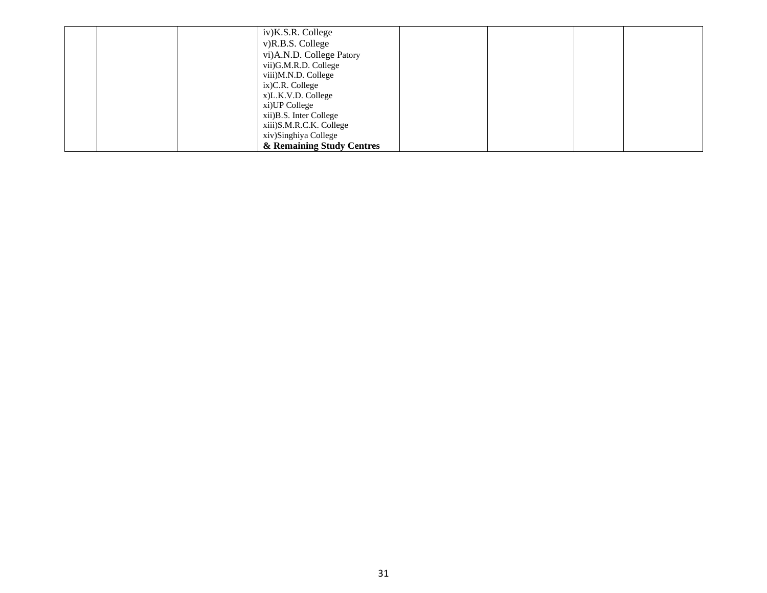|  | iv)K.S.R. College         |  |  |
|--|---------------------------|--|--|
|  |                           |  |  |
|  | v)R.B.S. College          |  |  |
|  | vi)A.N.D. College Patory  |  |  |
|  | vii)G.M.R.D. College      |  |  |
|  | viii)M.N.D. College       |  |  |
|  | $ix)$ C.R. College        |  |  |
|  | x)L.K.V.D. College        |  |  |
|  | xi) UP College            |  |  |
|  | xii) B.S. Inter College   |  |  |
|  | xiii)S.M.R.C.K. College   |  |  |
|  | xiv)Singhiya College      |  |  |
|  | & Remaining Study Centres |  |  |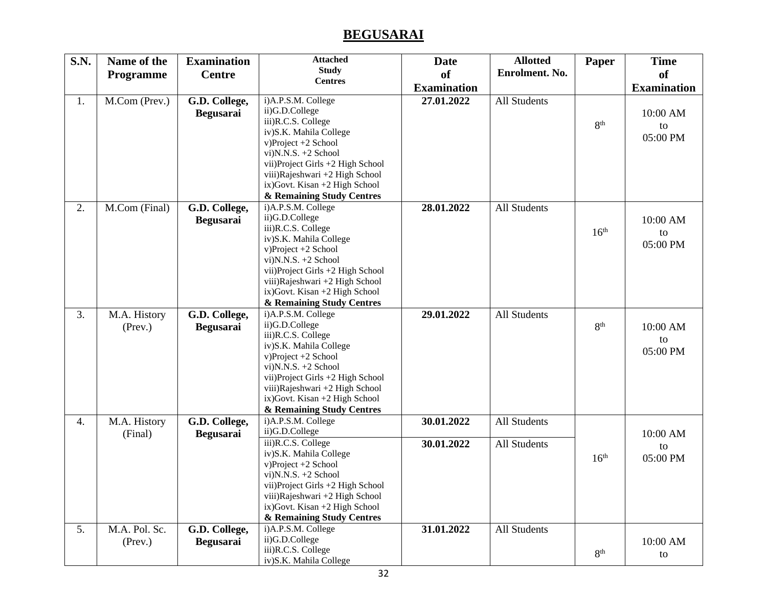#### **BEGUSARAI**

| <b>S.N.</b> | Name of the                    | <b>Examination</b>                | <b>Attached</b>                                                                                                                                                                                                                                                              | <b>Date</b>              | <b>Allotted</b>              | Paper            | <b>Time</b>                |
|-------------|--------------------------------|-----------------------------------|------------------------------------------------------------------------------------------------------------------------------------------------------------------------------------------------------------------------------------------------------------------------------|--------------------------|------------------------------|------------------|----------------------------|
|             | Programme                      | <b>Centre</b>                     | <b>Study</b>                                                                                                                                                                                                                                                                 | <sub>of</sub>            | Enrolment. No.               |                  | of                         |
|             |                                |                                   | <b>Centres</b>                                                                                                                                                                                                                                                               | <b>Examination</b>       |                              |                  | <b>Examination</b>         |
| 1.          | M.Com (Prev.)                  | G.D. College,<br>Begusarai        | i)A.P.S.M. College<br>ii)G.D.College<br>iii)R.C.S. College<br>iv)S.K. Mahila College<br>v)Project +2 School<br>vi) $N.S. +2$ School<br>vii) Project Girls +2 High School<br>viii) Rajeshwari +2 High School<br>ix)Govt. Kisan +2 High School<br>& Remaining Study Centres    | 27.01.2022               | All Students                 | 8 <sup>th</sup>  | 10:00 AM<br>to<br>05:00 PM |
| 2.          | M.Com (Final)                  | G.D. College,<br><b>Begusarai</b> | i)A.P.S.M. College<br>ii)G.D.College<br>iii)R.C.S. College<br>iv)S.K. Mahila College<br>v)Project +2 School<br>vi) $N.N.S. +2$ School<br>vii)Project Girls +2 High School<br>viii)Rajeshwari +2 High School<br>ix) Govt. Kisan +2 High School<br>& Remaining Study Centres   | 28.01.2022               | All Students                 | 16 <sup>th</sup> | 10:00 AM<br>to<br>05:00 PM |
| 3.          | M.A. History<br>$($ Prev. $)$  | G.D. College,<br><b>Begusarai</b> | i)A.P.S.M. College<br>ii)G.D.College<br>iii)R.C.S. College<br>iv)S.K. Mahila College<br>v)Project +2 School<br>vi)N.N.S. +2 School<br>vii) Project Girls +2 High School<br>viii) Rajeshwari +2 High School<br>ix) Govt. Kisan +2 High School<br>& Remaining Study Centres    | 29.01.2022               | All Students                 | 8 <sup>th</sup>  | 10:00 AM<br>to<br>05:00 PM |
| 4.          | M.A. History<br>(Final)        | G.D. College,<br>Begusarai        | i)A.P.S.M. College<br>ii)G.D.College<br>iii)R.C.S. College<br>iv)S.K. Mahila College<br>v)Project +2 School<br>vi) $N.S. +2$ School<br>vii) Project Girls $+2$ High School<br>viii) Rajeshwari +2 High School<br>ix) Govt. Kisan +2 High School<br>& Remaining Study Centres | 30.01.2022<br>30.01.2022 | All Students<br>All Students | 16 <sup>th</sup> | 10:00 AM<br>to<br>05:00 PM |
| 5.          | M.A. Pol. Sc.<br>$($ Prev. $)$ | G.D. College,<br><b>Begusarai</b> | i)A.P.S.M. College<br>ii)G.D.College<br>iii)R.C.S. College<br>iv)S.K. Mahila College                                                                                                                                                                                         | 31.01.2022               | All Students                 | 8 <sup>th</sup>  | 10:00 AM<br>to             |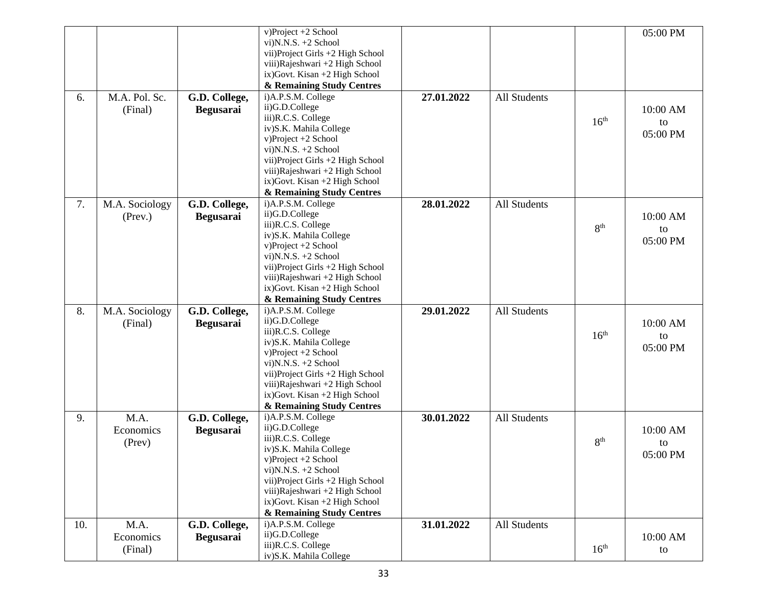|     |                |                  | v)Project +2 School                  |            |                     |                  | 05:00 PM |
|-----|----------------|------------------|--------------------------------------|------------|---------------------|------------------|----------|
|     |                |                  | vi)N.N.S. +2 School                  |            |                     |                  |          |
|     |                |                  | vii) Project Girls +2 High School    |            |                     |                  |          |
|     |                |                  | viii)Rajeshwari +2 High School       |            |                     |                  |          |
|     |                |                  | ix) Govt. Kisan +2 High School       |            |                     |                  |          |
|     |                |                  | & Remaining Study Centres            |            |                     |                  |          |
| 6.  | M.A. Pol. Sc.  | G.D. College,    | i)A.P.S.M. College                   | 27.01.2022 | All Students        |                  |          |
|     | (Final)        | <b>Begusarai</b> | ii)G.D.College                       |            |                     |                  | 10:00 AM |
|     |                |                  | iii)R.C.S. College                   |            |                     | 16 <sup>th</sup> | to       |
|     |                |                  | iv)S.K. Mahila College               |            |                     |                  | 05:00 PM |
|     |                |                  | v)Project +2 School                  |            |                     |                  |          |
|     |                |                  | vi) $N.N.S. +2$ School               |            |                     |                  |          |
|     |                |                  | vii) Project Girls +2 High School    |            |                     |                  |          |
|     |                |                  | viii)Rajeshwari +2 High School       |            |                     |                  |          |
|     |                |                  | ix) Govt. Kisan +2 High School       |            |                     |                  |          |
|     |                |                  | & Remaining Study Centres            |            |                     |                  |          |
| 7.  | M.A. Sociology | G.D. College,    | i)A.P.S.M. College                   | 28.01.2022 | All Students        |                  |          |
|     | $($ Prev. $)$  | <b>Begusarai</b> | ii)G.D.College                       |            |                     |                  | 10:00 AM |
|     |                |                  | iii)R.C.S. College                   |            |                     | 8 <sup>th</sup>  | to       |
|     |                |                  | iv)S.K. Mahila College               |            |                     |                  | 05:00 PM |
|     |                |                  | v)Project +2 School                  |            |                     |                  |          |
|     |                |                  | vi) $N.S. +2$ School                 |            |                     |                  |          |
|     |                |                  | vii) Project Girls +2 High School    |            |                     |                  |          |
|     |                |                  | viii)Rajeshwari +2 High School       |            |                     |                  |          |
|     |                |                  | ix) Govt. Kisan +2 High School       |            |                     |                  |          |
|     |                |                  | & Remaining Study Centres            |            |                     |                  |          |
| 8.  | M.A. Sociology | G.D. College,    | i)A.P.S.M. College<br>ii)G.D.College | 29.01.2022 | <b>All Students</b> |                  |          |
|     | (Final)        | <b>Begusarai</b> | iii)R.C.S. College                   |            |                     |                  | 10:00 AM |
|     |                |                  | iv)S.K. Mahila College               |            |                     | 16 <sup>th</sup> | to       |
|     |                |                  | $v) Project +2 School$               |            |                     |                  | 05:00 PM |
|     |                |                  | vi) $N.N.S. +2$ School               |            |                     |                  |          |
|     |                |                  | vii) Project Girls +2 High School    |            |                     |                  |          |
|     |                |                  | viii)Rajeshwari +2 High School       |            |                     |                  |          |
|     |                |                  | ix) Govt. Kisan +2 High School       |            |                     |                  |          |
|     |                |                  | & Remaining Study Centres            |            |                     |                  |          |
| 9.  | M.A.           | G.D. College,    | i)A.P.S.M. College                   | 30.01.2022 | All Students        |                  |          |
|     | Economics      | <b>Begusarai</b> | ii)G.D.College                       |            |                     |                  | 10:00 AM |
|     | (Prev)         |                  | iii)R.C.S. College                   |            |                     | 8 <sup>th</sup>  | to       |
|     |                |                  | iv)S.K. Mahila College               |            |                     |                  | 05:00 PM |
|     |                |                  | v)Project +2 School                  |            |                     |                  |          |
|     |                |                  | vi)N.N.S. +2 School                  |            |                     |                  |          |
|     |                |                  | vii) Project Girls +2 High School    |            |                     |                  |          |
|     |                |                  | viii)Rajeshwari +2 High School       |            |                     |                  |          |
|     |                |                  | ix) Govt. Kisan +2 High School       |            |                     |                  |          |
|     |                |                  | & Remaining Study Centres            |            |                     |                  |          |
| 10. | M.A.           | G.D. College,    | i)A.P.S.M. College<br>ii)G.D.College | 31.01.2022 | All Students        |                  |          |
|     | Economics      | <b>Begusarai</b> |                                      |            |                     |                  | 10:00 AM |
|     | (Final)        |                  | iii)R.C.S. College                   |            |                     | 16 <sup>th</sup> | to       |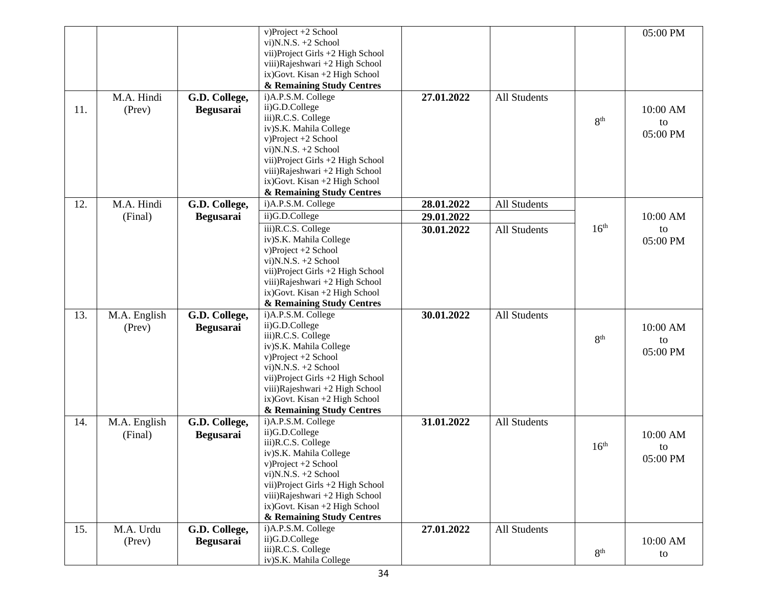|     |              |                  | v)Project +2 School                             |            |                     |                  | 05:00 PM |
|-----|--------------|------------------|-------------------------------------------------|------------|---------------------|------------------|----------|
|     |              |                  | vi) $N.S. +2$ School                            |            |                     |                  |          |
|     |              |                  | vii) Project Girls +2 High School               |            |                     |                  |          |
|     |              |                  | viii)Rajeshwari +2 High School                  |            |                     |                  |          |
|     |              |                  | ix) Govt. Kisan +2 High School                  |            |                     |                  |          |
|     |              |                  | & Remaining Study Centres<br>i)A.P.S.M. College |            |                     |                  |          |
|     | M.A. Hindi   | G.D. College,    | ii)G.D.College                                  | 27.01.2022 | <b>All Students</b> |                  |          |
| 11. | (Prev)       | <b>Begusarai</b> | iii)R.C.S. College                              |            |                     |                  | 10:00 AM |
|     |              |                  | iv)S.K. Mahila College                          |            |                     | 8 <sup>th</sup>  | to       |
|     |              |                  | v)Project +2 School                             |            |                     |                  | 05:00 PM |
|     |              |                  | vi) $N.N.S. +2$ School                          |            |                     |                  |          |
|     |              |                  | vii) Project Girls +2 High School               |            |                     |                  |          |
|     |              |                  | viii)Rajeshwari +2 High School                  |            |                     |                  |          |
|     |              |                  | ix) Govt. Kisan +2 High School                  |            |                     |                  |          |
|     |              |                  | & Remaining Study Centres                       |            |                     |                  |          |
| 12. | M.A. Hindi   | G.D. College,    | i)A.P.S.M. College                              | 28.01.2022 | All Students        |                  |          |
|     | (Final)      | <b>Begusarai</b> | ii)G.D.College                                  | 29.01.2022 |                     |                  | 10:00 AM |
|     |              |                  | iii)R.C.S. College                              | 30.01.2022 | All Students        | 16 <sup>th</sup> | to       |
|     |              |                  | iv)S.K. Mahila College                          |            |                     |                  | 05:00 PM |
|     |              |                  | v)Project +2 School                             |            |                     |                  |          |
|     |              |                  | vi)N.N.S. +2 School                             |            |                     |                  |          |
|     |              |                  | vii) Project Girls +2 High School               |            |                     |                  |          |
|     |              |                  | viii)Rajeshwari +2 High School                  |            |                     |                  |          |
|     |              |                  | ix) Govt. Kisan +2 High School                  |            |                     |                  |          |
|     |              |                  | & Remaining Study Centres                       |            |                     |                  |          |
| 13. | M.A. English | G.D. College,    | i)A.P.S.M. College<br>ii)G.D.College            | 30.01.2022 | <b>All Students</b> |                  |          |
|     | (Prev)       | <b>Begusarai</b> | iii)R.C.S. College                              |            |                     |                  | 10:00 AM |
|     |              |                  | iv)S.K. Mahila College                          |            |                     | 8 <sup>th</sup>  | to       |
|     |              |                  | v)Project +2 School                             |            |                     |                  | 05:00 PM |
|     |              |                  | vi)N.N.S. +2 School                             |            |                     |                  |          |
|     |              |                  | vii) Project Girls +2 High School               |            |                     |                  |          |
|     |              |                  | viii)Rajeshwari +2 High School                  |            |                     |                  |          |
|     |              |                  | ix) Govt. Kisan +2 High School                  |            |                     |                  |          |
|     |              |                  | & Remaining Study Centres                       |            |                     |                  |          |
| 14. | M.A. English | G.D. College,    | i)A.P.S.M. College                              | 31.01.2022 | <b>All Students</b> |                  |          |
|     | (Final)      | <b>Begusarai</b> | ii)G.D.College                                  |            |                     |                  | 10:00 AM |
|     |              |                  | iii)R.C.S. College                              |            |                     | 16 <sup>th</sup> | to       |
|     |              |                  | iv)S.K. Mahila College<br>v)Project +2 School   |            |                     |                  | 05:00 PM |
|     |              |                  | vi) $N.S. +2$ School                            |            |                     |                  |          |
|     |              |                  | vii) Project Girls +2 High School               |            |                     |                  |          |
|     |              |                  | viii)Rajeshwari +2 High School                  |            |                     |                  |          |
|     |              |                  | ix) Govt. Kisan +2 High School                  |            |                     |                  |          |
|     |              |                  | & Remaining Study Centres                       |            |                     |                  |          |
| 15. | M.A. Urdu    | G.D. College,    | i)A.P.S.M. College                              | 27.01.2022 | All Students        |                  |          |
|     | (Prev)       | <b>Begusarai</b> | ii)G.D.College                                  |            |                     |                  | 10:00 AM |
|     |              |                  | iii)R.C.S. College                              |            |                     | 8 <sup>th</sup>  | to       |
|     |              |                  | iv)S.K. Mahila College                          |            |                     |                  |          |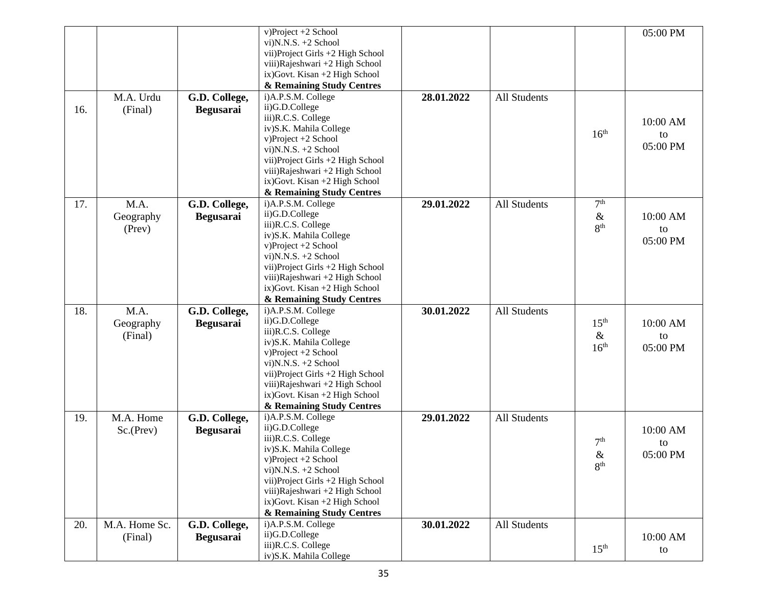|     |               |                  | v)Project +2 School               |            |                     |                  | 05:00 PM |
|-----|---------------|------------------|-----------------------------------|------------|---------------------|------------------|----------|
|     |               |                  | vi) $N.S. +2$ School              |            |                     |                  |          |
|     |               |                  | vii) Project Girls +2 High School |            |                     |                  |          |
|     |               |                  | viii)Rajeshwari +2 High School    |            |                     |                  |          |
|     |               |                  | ix) Govt. Kisan +2 High School    |            |                     |                  |          |
|     |               |                  | & Remaining Study Centres         |            |                     |                  |          |
|     | M.A. Urdu     | G.D. College,    | i)A.P.S.M. College                | 28.01.2022 | <b>All Students</b> |                  |          |
| 16. | (Final)       | <b>Begusarai</b> | ii)G.D.College                    |            |                     |                  |          |
|     |               |                  | iii)R.C.S. College                |            |                     |                  | 10:00 AM |
|     |               |                  | iv)S.K. Mahila College            |            |                     |                  |          |
|     |               |                  | v)Project +2 School               |            |                     | 16 <sup>th</sup> | to       |
|     |               |                  | vi) $N.N.S. +2$ School            |            |                     |                  | 05:00 PM |
|     |               |                  | vii) Project Girls +2 High School |            |                     |                  |          |
|     |               |                  | viii)Rajeshwari +2 High School    |            |                     |                  |          |
|     |               |                  | ix) Govt. Kisan +2 High School    |            |                     |                  |          |
|     |               |                  | & Remaining Study Centres         |            |                     |                  |          |
| 17. | M.A.          | G.D. College,    | i)A.P.S.M. College                | 29.01.2022 | <b>All Students</b> | 7 <sup>th</sup>  |          |
|     | Geography     | <b>Begusarai</b> | ii)G.D.College                    |            |                     | $\&$             | 10:00 AM |
|     | (Prev)        |                  | iii)R.C.S. College                |            |                     | 8 <sup>th</sup>  |          |
|     |               |                  | iv)S.K. Mahila College            |            |                     |                  | to       |
|     |               |                  | v)Project +2 School               |            |                     |                  | 05:00 PM |
|     |               |                  | vi)N.N.S. +2 School               |            |                     |                  |          |
|     |               |                  | vii) Project Girls +2 High School |            |                     |                  |          |
|     |               |                  | viii)Rajeshwari +2 High School    |            |                     |                  |          |
|     |               |                  | ix) Govt. Kisan +2 High School    |            |                     |                  |          |
|     |               |                  | & Remaining Study Centres         |            |                     |                  |          |
| 18. | M.A.          | G.D. College,    | i)A.P.S.M. College                | 30.01.2022 | All Students        |                  |          |
|     | Geography     | <b>Begusarai</b> | ii)G.D.College                    |            |                     | 15 <sup>th</sup> | 10:00 AM |
|     | (Final)       |                  | iii)R.C.S. College                |            |                     | $\&$             | to       |
|     |               |                  | iv)S.K. Mahila College            |            |                     | 16 <sup>th</sup> | 05:00 PM |
|     |               |                  | $v) Project +2 School$            |            |                     |                  |          |
|     |               |                  | vi)N.N.S. +2 School               |            |                     |                  |          |
|     |               |                  | vii) Project Girls +2 High School |            |                     |                  |          |
|     |               |                  | viii) Rajeshwari +2 High School   |            |                     |                  |          |
|     |               |                  | ix) Govt. Kisan +2 High School    |            |                     |                  |          |
|     |               |                  | & Remaining Study Centres         |            |                     |                  |          |
| 19. | M.A. Home     | G.D. College,    | i)A.P.S.M. College                | 29.01.2022 | <b>All Students</b> |                  |          |
|     | Sc.(Prev)     | <b>Begusarai</b> | ii)G.D.College                    |            |                     |                  | 10:00 AM |
|     |               |                  | iii)R.C.S. College                |            |                     | 7 <sup>th</sup>  | to       |
|     |               |                  | iv)S.K. Mahila College            |            |                     | $\&$             | 05:00 PM |
|     |               |                  | v)Project +2 School               |            |                     | 8 <sup>th</sup>  |          |
|     |               |                  | vi) $N.S. +2$ School              |            |                     |                  |          |
|     |               |                  | vii) Project Girls +2 High School |            |                     |                  |          |
|     |               |                  | viii) Rajeshwari +2 High School   |            |                     |                  |          |
|     |               |                  | ix) Govt. Kisan +2 High School    |            |                     |                  |          |
|     |               |                  | & Remaining Study Centres         |            |                     |                  |          |
| 20. | M.A. Home Sc. | G.D. College,    | i)A.P.S.M. College                | 30.01.2022 | <b>All Students</b> |                  |          |
|     | (Final)       | <b>Begusarai</b> | ii)G.D.College                    |            |                     |                  | 10:00 AM |
|     |               |                  | iii)R.C.S. College                |            |                     | 15 <sup>th</sup> | to       |
|     |               |                  | iv)S.K. Mahila College            |            |                     |                  |          |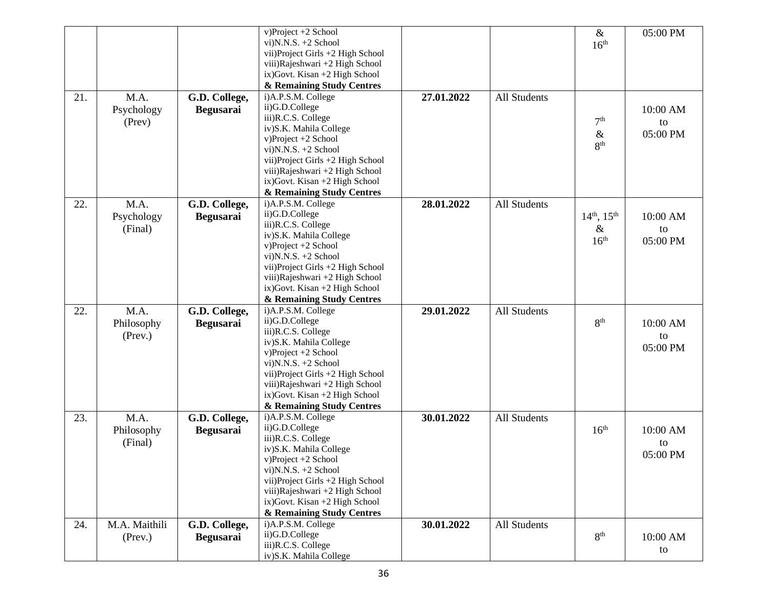|     |               |                  | v)Project +2 School                           |            |                     | $\&$                  | 05:00 PM |
|-----|---------------|------------------|-----------------------------------------------|------------|---------------------|-----------------------|----------|
|     |               |                  | vi) $N.S. +2$ School                          |            |                     | 16 <sup>th</sup>      |          |
|     |               |                  | vii) Project Girls +2 High School             |            |                     |                       |          |
|     |               |                  | viii)Rajeshwari +2 High School                |            |                     |                       |          |
|     |               |                  | ix) Govt. Kisan +2 High School                |            |                     |                       |          |
|     |               |                  | & Remaining Study Centres                     |            |                     |                       |          |
| 21. | M.A.          | G.D. College,    | i)A.P.S.M. College                            | 27.01.2022 | All Students        |                       |          |
|     |               |                  | ii)G.D.College                                |            |                     |                       |          |
|     | Psychology    | <b>Begusarai</b> | iii)R.C.S. College                            |            |                     |                       | 10:00 AM |
|     | (Prev)        |                  | iv)S.K. Mahila College                        |            |                     | 7 <sup>th</sup>       | to       |
|     |               |                  | v)Project +2 School                           |            |                     | $\&$                  | 05:00 PM |
|     |               |                  | vi)N.N.S. +2 School                           |            |                     | 8 <sup>th</sup>       |          |
|     |               |                  |                                               |            |                     |                       |          |
|     |               |                  | vii) Project Girls +2 High School             |            |                     |                       |          |
|     |               |                  | viii) Rajeshwari +2 High School               |            |                     |                       |          |
|     |               |                  | ix) Govt. Kisan +2 High School                |            |                     |                       |          |
|     |               |                  | & Remaining Study Centres                     |            |                     |                       |          |
| 22. | M.A.          | G.D. College,    | i)A.P.S.M. College                            | 28.01.2022 | All Students        |                       |          |
|     | Psychology    | <b>Begusarai</b> | ii)G.D.College                                |            |                     | $14^{th}$ , $15^{th}$ | 10:00 AM |
|     | (Final)       |                  | iii)R.C.S. College                            |            |                     | $\&$                  | to       |
|     |               |                  | iv)S.K. Mahila College<br>v)Project +2 School |            |                     | 16 <sup>th</sup>      | 05:00 PM |
|     |               |                  | vi) $N.N.S. +2$ School                        |            |                     |                       |          |
|     |               |                  | vii) Project Girls +2 High School             |            |                     |                       |          |
|     |               |                  | viii) Rajeshwari +2 High School               |            |                     |                       |          |
|     |               |                  | ix) Govt. Kisan +2 High School                |            |                     |                       |          |
|     |               |                  | & Remaining Study Centres                     |            |                     |                       |          |
|     |               |                  | i)A.P.S.M. College                            |            |                     |                       |          |
| 22. | M.A.          | G.D. College,    | ii)G.D.College                                | 29.01.2022 | <b>All Students</b> |                       |          |
|     | Philosophy    | <b>Begusarai</b> | iii)R.C.S. College                            |            |                     | 8 <sup>th</sup>       | 10:00 AM |
|     | $($ Prev. $)$ |                  | iv)S.K. Mahila College                        |            |                     |                       | to       |
|     |               |                  | v)Project +2 School                           |            |                     |                       | 05:00 PM |
|     |               |                  | vi) $N.S. +2$ School                          |            |                     |                       |          |
|     |               |                  | vii) Project Girls +2 High School             |            |                     |                       |          |
|     |               |                  | viii) Rajeshwari +2 High School               |            |                     |                       |          |
|     |               |                  | ix) Govt. Kisan +2 High School                |            |                     |                       |          |
|     |               |                  | & Remaining Study Centres                     |            |                     |                       |          |
| 23. | M.A.          | G.D. College,    | i)A.P.S.M. College                            | 30.01.2022 | All Students        |                       |          |
|     |               |                  | ii)G.D.College                                |            |                     | 16 <sup>th</sup>      |          |
|     | Philosophy    | <b>Begusarai</b> | iii)R.C.S. College                            |            |                     |                       | 10:00 AM |
|     | (Final)       |                  | iv)S.K. Mahila College                        |            |                     |                       | to       |
|     |               |                  | v)Project +2 School                           |            |                     |                       | 05:00 PM |
|     |               |                  | vi) $N.S. +2$ School                          |            |                     |                       |          |
|     |               |                  | vii) Project Girls +2 High School             |            |                     |                       |          |
|     |               |                  | viii) Rajeshwari +2 High School               |            |                     |                       |          |
|     |               |                  | ix) Govt. Kisan +2 High School                |            |                     |                       |          |
|     |               |                  | & Remaining Study Centres                     |            |                     |                       |          |
| 24. | M.A. Maithili | G.D. College,    | i)A.P.S.M. College                            | 30.01.2022 | All Students        |                       |          |
|     | $($ Prev. $)$ | <b>Begusarai</b> | ii)G.D.College                                |            |                     | 8 <sup>th</sup>       | 10:00 AM |
|     |               |                  | iii)R.C.S. College                            |            |                     |                       | to       |
|     |               |                  |                                               |            |                     |                       |          |